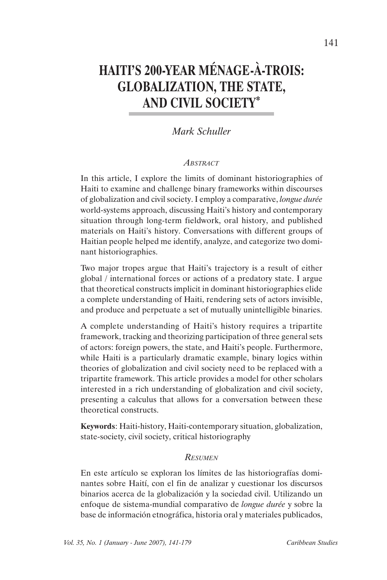# **HAITI'S 200-YEAR MÉNAGE-À-TROIS: GLOBALIZATION, THE STATE, AND CIVIL SOCIETY\***

# *Mark Schuller*

#### *ABSTRACT*

In this article, I explore the limits of dominant historiographies of Haiti to examine and challenge binary frameworks within discourses of globalization and civil society. I employ a comparative, *longue durée*  world-systems approach, discussing Haiti's history and contemporary situation through long-term fieldwork, oral history, and published materials on Haiti's history. Conversations with different groups of Haitian people helped me identify, analyze, and categorize two dominant historiographies.

Two major tropes argue that Haiti's trajectory is a result of either global / international forces or actions of a predatory state. I argue that theoretical constructs implicit in dominant historiographies elide a complete understanding of Haiti, rendering sets of actors invisible, and produce and perpetuate a set of mutually unintelligible binaries.

A complete understanding of Haiti's history requires a tripartite framework, tracking and theorizing participation of three general sets of actors: foreign powers, the state, and Haiti's people. Furthermore, while Haiti is a particularly dramatic example, binary logics within theories of globalization and civil society need to be replaced with a tripartite framework. This article provides a model for other scholars interested in a rich understanding of globalization and civil society, presenting a calculus that allows for a conversation between these theoretical constructs.

**Keywords**: Haiti-history, Haiti-contemporary situation, globalization, state-society, civil society, critical historiography

#### *RESUMEN*

En este artículo se exploran los límites de las historiografías dominantes sobre Haití, con el fin de analizar y cuestionar los discursos binarios acerca de la globalización y la sociedad civil. Utilizando un enfoque de sistema-mundial comparativo de *longue durée* y sobre la base de información etnográfica, historia oral y materiales publicados,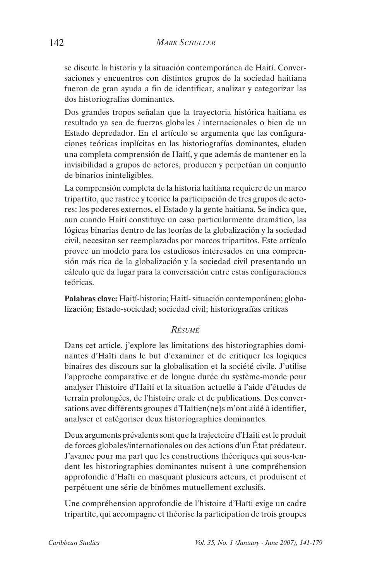se discute la historia y la situación contemporánea de Haití. Conversaciones y encuentros con distintos grupos de la sociedad haitiana fueron de gran ayuda a fin de identificar, analizar y categorizar las dos historiografías dominantes.

Dos grandes tropos señalan que la trayectoria histórica haitiana es resultado ya sea de fuerzas globales / internacionales o bien de un Estado depredador. En el artículo se argumenta que las configuraciones teóricas implícitas en las historiografías dominantes, eluden una completa comprensión de Haití, y que además de mantener en la invisibilidad a grupos de actores, producen y perpetúan un conjunto de binarios ininteligibles.

La comprensión completa de la historia haitiana requiere de un marco tripartito, que rastree y teorice la participación de tres grupos de actores: los poderes externos, el Estado y la gente haitiana. Se indica que, aun cuando Haití constituye un caso particularmente dramático, las lógicas binarias dentro de las teorías de la globalización y la sociedad civil, necesitan ser reemplazadas por marcos tripartitos. Este artículo provee un modelo para los estudiosos interesados en una comprensión más rica de la globalización y la sociedad civil presentando un cálculo que da lugar para la conversación entre estas configuraciones teóricas.

**Palabras clave:** Haití-historia; Haití- situación contemporánea; globalización; Estado-sociedad; sociedad civil; historiografías críticas

#### *RÉSUMÉ*

Dans cet article, j'explore les limitations des historiographies dominantes d'Haïti dans le but d'examiner et de critiquer les logiques binaires des discours sur la globalisation et la société civile. J'utilise l'approche comparative et de longue durée du système-monde pour analyser l'histoire d'Haïti et la situation actuelle à l'aide d'études de terrain prolongées, de l'histoire orale et de publications. Des conversations avec différents groupes d'Haïtien(ne)s m'ont aidé à identifier, analyser et catégoriser deux historiographies dominantes.

Deux arguments prévalents sont que la trajectoire d'Haïti est le produit de forces globales/internationales ou des actions d'un État prédateur. J'avance pour ma part que les constructions théoriques qui sous-tendent les historiographies dominantes nuisent à une compréhension approfondie d'Haïti en masquant plusieurs acteurs, et produisent et perpétuent une série de binômes mutuellement exclusifs.

Une compréhension approfondie de l'histoire d'Haïti exige un cadre tripartite, qui accompagne et théorise la participation de trois groupes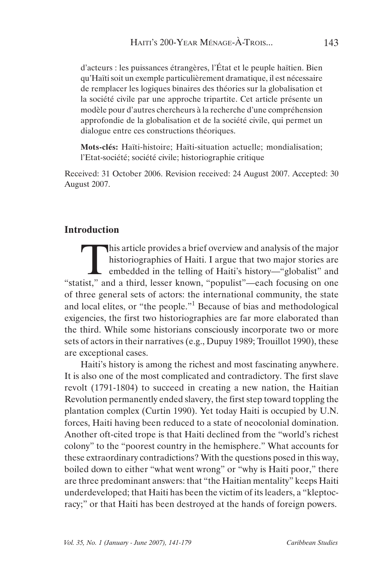d'acteurs : les puissances étrangères, l'État et le peuple haïtien. Bien qu'Haïti soit un exemple particulièrement dramatique, il est nécessaire de remplacer les logiques binaires des théories sur la globalisation et la société civile par une approche tripartite. Cet article présente un modèle pour d'autres chercheurs à la recherche d'une compréhension approfondie de la globalisation et de la société civile, qui permet un dialogue entre ces constructions théoriques.

**Mots-clés:** Haïti-histoire; Haïti-situation actuelle; mondialisation; l'Etat-société; société civile; historiographie critique

Received: 31 October 2006. Revision received: 24 August 2007. Accepted: 30 August 2007.

## **Introduction**

This article provides a brief overview and analysis of the major<br>historiographies of Haiti. I argue that two major stories are<br>embedded in the telling of Haiti's history—"globalist" and<br>itst " and a third lesser known "pop historiographies of Haiti. I argue that two major stories are embedded in the telling of Haiti's history—"globalist" and "statist," and a third, lesser known, "populist"—each focusing on one of three general sets of actors: the international community, the state and local elites, or "the people."<sup>1</sup> Because of bias and methodological exigencies, the first two historiographies are far more elaborated than the third. While some historians consciously incorporate two or more sets of actors in their narratives (e.g., Dupuy 1989; Trouillot 1990), these are exceptional cases.

Haiti's history is among the richest and most fascinating anywhere. It is also one of the most complicated and contradictory. The first slave revolt (1791-1804) to succeed in creating a new nation, the Haitian Revolution permanently ended slavery, the first step toward toppling the plantation complex (Curtin 1990). Yet today Haiti is occupied by U.N. forces, Haiti having been reduced to a state of neocolonial domination. Another oft-cited trope is that Haiti declined from the "world's richest colony" to the "poorest country in the hemisphere." What accounts for these extraordinary contradictions? With the questions posed in this way, boiled down to either "what went wrong" or "why is Haiti poor," there are three predominant answers: that "the Haitian mentality" keeps Haiti underdeveloped; that Haiti has been the victim of its leaders, a "kleptocracy;" or that Haiti has been destroyed at the hands of foreign powers.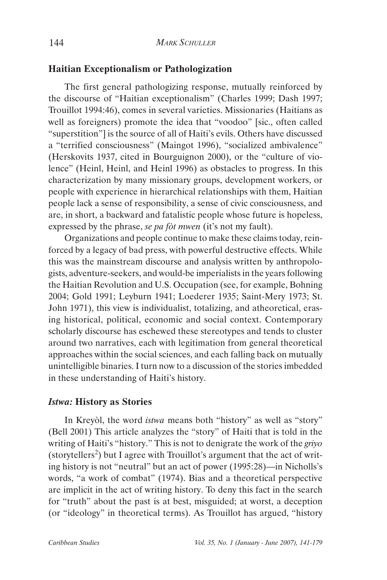## **Haitian Exceptionalism or Pathologization**

The first general pathologizing response, mutually reinforced by the discourse of "Haitian exceptionalism" (Charles 1999; Dash 1997; Trouillot 1994:46), comes in several varieties. Missionaries (Haitians as well as foreigners) promote the idea that "voodoo" [sic., often called "superstition"] is the source of all of Haiti's evils. Others have discussed a "terrified consciousness" (Maingot 1996), "socialized ambivalence" (Herskovits 1937, cited in Bourguignon 2000), or the "culture of violence" (Heinl, Heinl, and Heinl 1996) as obstacles to progress. In this characterization by many missionary groups, development workers, or people with experience in hierarchical relationships with them, Haitian people lack a sense of responsibility, a sense of civic consciousness, and are, in short, a backward and fatalistic people whose future is hopeless, expressed by the phrase, *se pa fòt mwen* (it's not my fault).

Organizations and people continue to make these claims today, reinforced by a legacy of bad press, with powerful destructive effects. While this was the mainstream discourse and analysis written by anthropologists, adventure-seekers, and would-be imperialists in the years following the Haitian Revolution and U.S. Occupation (see, for example, Bohning 2004; Gold 1991; Leyburn 1941; Loederer 1935; Saint-Mery 1973; St. John 1971), this view is individualist, totalizing, and atheoretical, erasing historical, political, economic and social context. Contemporary scholarly discourse has eschewed these stereotypes and tends to cluster around two narratives, each with legitimation from general theoretical approaches within the social sciences, and each falling back on mutually unintelligible binaries. I turn now to a discussion of the stories imbedded in these understanding of Haiti's history.

## *Istwa:* **History as Stories**

In Kreyòl, the word *istwa* means both "history" as well as "story" (Bell 2001) This article analyzes the "story" of Haiti that is told in the writing of Haiti's "history." This is not to denigrate the work of the *griyo*  (storytellers<sup>2</sup>) but I agree with Trouillot's argument that the act of writing history is not "neutral" but an act of power (1995:28)—in Nicholls's words, "a work of combat" (1974). Bias and a theoretical perspective are implicit in the act of writing history. To deny this fact in the search for "truth" about the past is at best, misguided; at worst, a deception (or "ideology" in theoretical terms). As Trouillot has argued, "history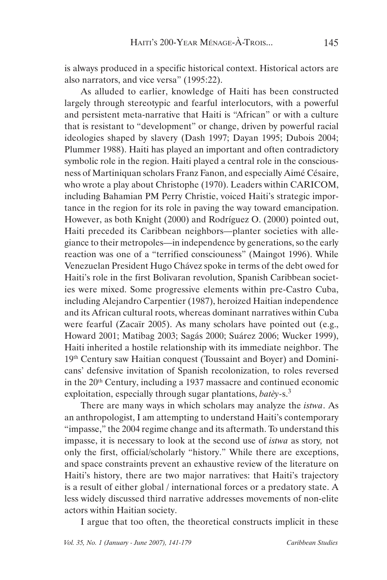is always produced in a specific historical context. Historical actors are also narrators, and vice versa" (1995:22).

As alluded to earlier, knowledge of Haiti has been constructed largely through stereotypic and fearful interlocutors, with a powerful and persistent meta-narrative that Haiti is "African" or with a culture that is resistant to "development" or change, driven by powerful racial ideologies shaped by slavery (Dash 1997; Dayan 1995; Dubois 2004; Plummer 1988). Haiti has played an important and often contradictory symbolic role in the region. Haiti played a central role in the consciousness of Martiniquan scholars Franz Fanon, and especially Aimé Césaire, who wrote a play about Christophe (1970). Leaders within CARICOM, including Bahamian PM Perry Christie, voiced Haiti's strategic importance in the region for its role in paving the way toward emancipation. However, as both Knight (2000) and Rodríguez O. (2000) pointed out, Haiti preceded its Caribbean neighbors—planter societies with allegiance to their metropoles—in independence by generations, so the early reaction was one of a "terrified consciouness" (Maingot 1996). While Venezuelan President Hugo Chávez spoke in terms of the debt owed for Haiti's role in the first Bolivaran revolution, Spanish Caribbean societies were mixed. Some progressive elements within pre-Castro Cuba, including Alejandro Carpentier (1987), heroized Haitian independence and its African cultural roots, whereas dominant narratives within Cuba were fearful (Zacaïr 2005). As many scholars have pointed out (e.g., Howard 2001; Matibag 2003; Sagás 2000; Suárez 2006; Wucker 1999), Haiti inherited a hostile relationship with its immediate neighbor. The 19th Century saw Haitian conquest (Toussaint and Boyer) and Dominicans' defensive invitation of Spanish recolonization, to roles reversed in the 20<sup>th</sup> Century, including a 1937 massacre and continued economic exploitation, especially through sugar plantations, *batèy-*s.<sup>3</sup>

There are many ways in which scholars may analyze the *istwa*. As an anthropologist, I am attempting to understand Haiti's contemporary "impasse," the 2004 regime change and its aftermath. To understand this impasse, it is necessary to look at the second use of *istwa* as story*,* not only the first, official/scholarly "history." While there are exceptions, and space constraints prevent an exhaustive review of the literature on Haiti's history, there are two major narratives: that Haiti's trajectory is a result of either global / international forces or a predatory state. A less widely discussed third narrative addresses movements of non-elite actors within Haitian society.

I argue that too often, the theoretical constructs implicit in these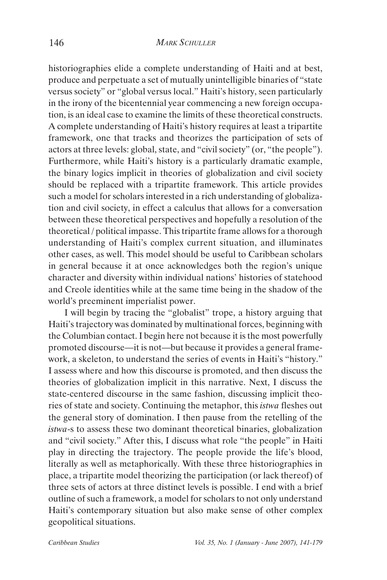historiographies elide a complete understanding of Haiti and at best, produce and perpetuate a set of mutually unintelligible binaries of "state versus society" or "global versus local." Haiti's history, seen particularly in the irony of the bicentennial year commencing a new foreign occupation, is an ideal case to examine the limits of these theoretical constructs. A complete understanding of Haiti's history requires at least a tripartite framework, one that tracks and theorizes the participation of sets of actors at three levels: global, state, and "civil society" (or, "the people"). Furthermore, while Haiti's history is a particularly dramatic example, the binary logics implicit in theories of globalization and civil society should be replaced with a tripartite framework. This article provides such a model for scholars interested in a rich understanding of globalization and civil society, in effect a calculus that allows for a conversation between these theoretical perspectives and hopefully a resolution of the theoretical / political impasse. This tripartite frame allows for a thorough understanding of Haiti's complex current situation, and illuminates other cases, as well. This model should be useful to Caribbean scholars in general because it at once acknowledges both the region's unique character and diversity within individual nations' histories of statehood and Creole identities while at the same time being in the shadow of the world's preeminent imperialist power.

I will begin by tracing the "globalist" trope, a history arguing that Haiti's trajectory was dominated by multinational forces, beginning with the Columbian contact. I begin here not because it is the most powerfully promoted discourse—it is not—but because it provides a general framework, a skeleton, to understand the series of events in Haiti's "history." I assess where and how this discourse is promoted, and then discuss the theories of globalization implicit in this narrative. Next, I discuss the state-centered discourse in the same fashion, discussing implicit theories of state and society. Continuing the metaphor, this *istwa* fleshes out the general story of domination. I then pause from the retelling of the *istwa*-s to assess these two dominant theoretical binaries, globalization and "civil society." After this, I discuss what role "the people" in Haiti play in directing the trajectory. The people provide the life's blood, literally as well as metaphorically. With these three historiographies in place, a tripartite model theorizing the participation (or lack thereof) of three sets of actors at three distinct levels is possible. I end with a brief outline of such a framework, a model for scholars to not only understand Haiti's contemporary situation but also make sense of other complex geopolitical situations.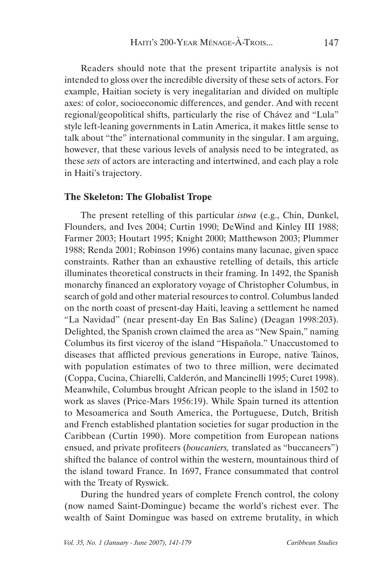Readers should note that the present tripartite analysis is not intended to gloss over the incredible diversity of these sets of actors. For example, Haitian society is very inegalitarian and divided on multiple axes: of color, socioeconomic differences, and gender. And with recent regional/geopolitical shifts, particularly the rise of Chávez and "Lula" style left-leaning governments in Latin America, it makes little sense to talk about "the" international community in the singular. I am arguing, however, that these various levels of analysis need to be integrated, as these *sets* of actors are interacting and intertwined, and each play a role in Haiti's trajectory.

#### **The Skeleton: The Globalist Trope**

The present retelling of this particular *istwa* (e.g., Chin, Dunkel, Flounders, and Ives 2004; Curtin 1990; DeWind and Kinley III 1988; Farmer 2003; Houtart 1995; Knight 2000; Matthewson 2003; Plummer 1988; Renda 2001; Robinson 1996) contains many lacunae, given space constraints. Rather than an exhaustive retelling of details, this article illuminates theoretical constructs in their framing. In 1492, the Spanish monarchy financed an exploratory voyage of Christopher Columbus, in search of gold and other material resources to control. Columbus landed on the north coast of present-day Haiti, leaving a settlement he named "La Navidad" (near present-day En Bas Saline) (Deagan 1998:203). Delighted, the Spanish crown claimed the area as "New Spain," naming Columbus its first viceroy of the island "Hispañola." Unaccustomed to diseases that afflicted previous generations in Europe, native Tainos, with population estimates of two to three million, were decimated (Coppa, Cucina, Chiarelli, Calderón, and Mancinelli 1995; Curet 1998). Meanwhile, Columbus brought African people to the island in 1502 to work as slaves (Price-Mars 1956:19). While Spain turned its attention to Mesoamerica and South America, the Portuguese, Dutch, British and French established plantation societies for sugar production in the Caribbean (Curtin 1990). More competition from European nations ensued, and private profiteers (*boucaniers,* translated as "buccaneers") shifted the balance of control within the western, mountainous third of the island toward France. In 1697, France consummated that control with the Treaty of Ryswick.

During the hundred years of complete French control, the colony (now named Saint-Domingue) became the world's richest ever. The wealth of Saint Domingue was based on extreme brutality, in which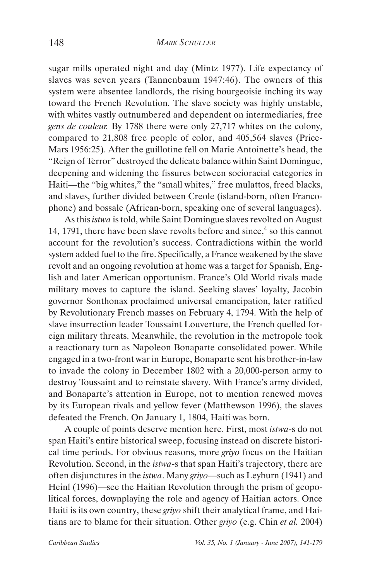sugar mills operated night and day (Mintz 1977). Life expectancy of slaves was seven years (Tannenbaum 1947:46). The owners of this system were absentee landlords, the rising bourgeoisie inching its way toward the French Revolution. The slave society was highly unstable, with whites vastly outnumbered and dependent on intermediaries, free *gens de couleur.* By 1788 there were only 27,717 whites on the colony, compared to 21,808 free people of color, and 405,564 slaves (Price-Mars 1956:25). After the guillotine fell on Marie Antoinette's head, the "Reign of Terror" destroyed the delicate balance within Saint Domingue, deepening and widening the fissures between socioracial categories in Haiti—the "big whites," the "small whites," free mulattos, freed blacks, and slaves, further divided between Creole (island-born, often Francophone) and bossale (African-born, speaking one of several languages).

As this *istwa* is told, while Saint Domingue slaves revolted on August 14, 1791, there have been slave revolts before and since, $4$  so this cannot account for the revolution's success. Contradictions within the world system added fuel to the fire. Specifically, a France weakened by the slave revolt and an ongoing revolution at home was a target for Spanish, English and later American opportunism. France's Old World rivals made military moves to capture the island. Seeking slaves' loyalty, Jacobin governor Sonthonax proclaimed universal emancipation, later ratified by Revolutionary French masses on February 4, 1794. With the help of slave insurrection leader Toussaint Louverture, the French quelled foreign military threats. Meanwhile, the revolution in the metropole took a reactionary turn as Napoleon Bonaparte consolidated power. While engaged in a two-front war in Europe, Bonaparte sent his brother-in-law to invade the colony in December 1802 with a 20,000-person army to destroy Toussaint and to reinstate slavery. With France's army divided, and Bonaparte's attention in Europe, not to mention renewed moves by its European rivals and yellow fever (Matthewson 1996), the slaves defeated the French. On January 1, 1804, Haiti was born.

A couple of points deserve mention here. First, most *istwa*-s do not span Haiti's entire historical sweep, focusing instead on discrete historical time periods. For obvious reasons, more *griyo* focus on the Haitian Revolution. Second, in the *istwa*-s that span Haiti's trajectory, there are often disjunctures in the *istwa*. Many *griyo—*such as Leyburn (1941) and Heinl (1996)—see the Haitian Revolution through the prism of geopolitical forces, downplaying the role and agency of Haitian actors. Once Haiti is its own country, these *griyo* shift their analytical frame, and Haitians are to blame for their situation. Other *griyo* (e.g. Chin *et al.* 2004)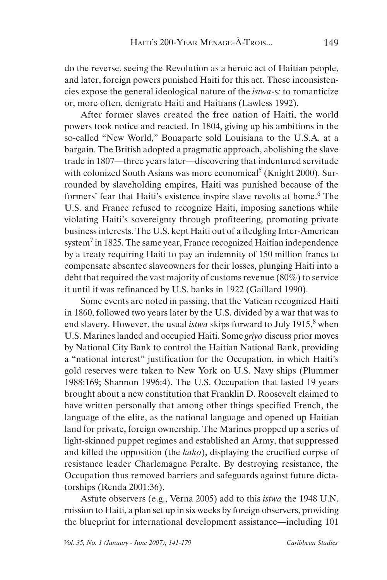do the reverse, seeing the Revolution as a heroic act of Haitian people, and later, foreign powers punished Haiti for this act. These inconsistencies expose the general ideological nature of the *istwa*-s*:* to romanticize or, more often, denigrate Haiti and Haitians (Lawless 1992).

After former slaves created the free nation of Haiti, the world powers took notice and reacted. In 1804, giving up his ambitions in the so-called "New World," Bonaparte sold Louisiana to the U.S.A. at a bargain. The British adopted a pragmatic approach, abolishing the slave trade in 1807—three years later—discovering that indentured servitude with colonized South Asians was more economical<sup>5</sup> (Knight 2000). Surrounded by slaveholding empires, Haiti was punished because of the formers' fear that Haiti's existence inspire slave revolts at home.<sup>6</sup> The U.S. and France refused to recognize Haiti, imposing sanctions while violating Haiti's sovereignty through profiteering, promoting private business interests. The U.S. kept Haiti out of a fledgling Inter-American system<sup>7</sup> in 1825. The same year, France recognized Haitian independence by a treaty requiring Haiti to pay an indemnity of 150 million francs to compensate absentee slaveowners for their losses, plunging Haiti into a debt that required the vast majority of customs revenue (80%) to service it until it was refinanced by U.S. banks in 1922 (Gaillard 1990).

Some events are noted in passing, that the Vatican recognized Haiti in 1860, followed two years later by the U.S. divided by a war that was to end slavery. However, the usual *istwa* skips forward to July 1915,<sup>8</sup> when U.S. Marines landed and occupied Haiti. Some *griyo* discuss prior moves by National City Bank to control the Haitian National Bank, providing a "national interest" justification for the Occupation, in which Haiti's gold reserves were taken to New York on U.S. Navy ships (Plummer 1988:169; Shannon 1996:4). The U.S. Occupation that lasted 19 years brought about a new constitution that Franklin D. Roosevelt claimed to have written personally that among other things specified French, the language of the elite, as the national language and opened up Haitian land for private, foreign ownership. The Marines propped up a series of light-skinned puppet regimes and established an Army, that suppressed and killed the opposition (the *kako*), displaying the crucified corpse of resistance leader Charlemagne Peralte. By destroying resistance, the Occupation thus removed barriers and safeguards against future dictatorships (Renda 2001:36).

Astute observers (e.g., Verna 2005) add to this *istwa* the 1948 U.N. mission to Haiti, a plan set up in six weeks by foreign observers, providing the blueprint for international development assistance—including 101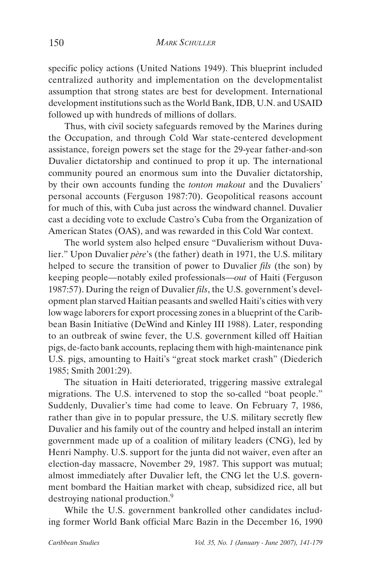specific policy actions (United Nations 1949). This blueprint included centralized authority and implementation on the developmentalist assumption that strong states are best for development. International development institutions such as the World Bank, IDB, U.N. and USAID followed up with hundreds of millions of dollars.

Thus, with civil society safeguards removed by the Marines during the Occupation, and through Cold War state-centered development assistance, foreign powers set the stage for the 29-year father-and-son Duvalier dictatorship and continued to prop it up. The international community poured an enormous sum into the Duvalier dictatorship, by their own accounts funding the *tonton makout* and the Duvaliers' personal accounts (Ferguson 1987:70). Geopolitical reasons account for much of this, with Cuba just across the windward channel. Duvalier cast a deciding vote to exclude Castro's Cuba from the Organization of American States (OAS), and was rewarded in this Cold War context.

The world system also helped ensure "Duvalierism without Duvalier." Upon Duvalier *père*'s (the father) death in 1971, the U.S. military helped to secure the transition of power to Duvalier *fils* (the son) by keeping people—notably exiled professionals—*out* of Haiti (Ferguson 1987:57). During the reign of Duvalier *fils*, the U.S. government's development plan starved Haitian peasants and swelled Haiti's cities with very low wage laborers for export processing zones in a blueprint of the Caribbean Basin Initiative (DeWind and Kinley III 1988). Later, responding to an outbreak of swine fever, the U.S. government killed off Haitian pigs, de-facto bank accounts, replacing them with high-maintenance pink U.S. pigs, amounting to Haiti's "great stock market crash" (Diederich 1985; Smith 2001:29).

The situation in Haiti deteriorated, triggering massive extralegal migrations. The U.S. intervened to stop the so-called "boat people." Suddenly, Duvalier's time had come to leave. On February 7, 1986, rather than give in to popular pressure, the U.S. military secretly flew Duvalier and his family out of the country and helped install an interim government made up of a coalition of military leaders (CNG), led by Henri Namphy. U.S. support for the junta did not waiver, even after an election-day massacre, November 29, 1987. This support was mutual; almost immediately after Duvalier left, the CNG let the U.S. government bombard the Haitian market with cheap, subsidized rice, all but destroying national production.<sup>9</sup>

While the U.S. government bankrolled other candidates including former World Bank official Marc Bazin in the December 16, 1990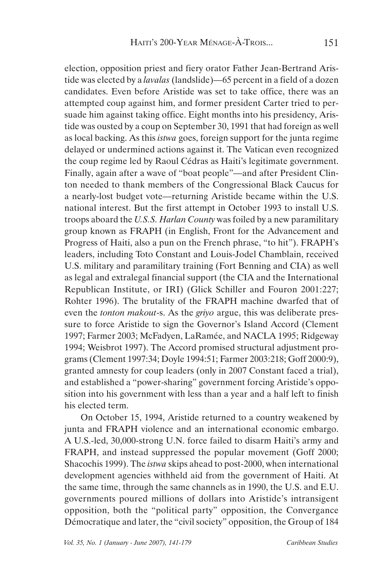election, opposition priest and fiery orator Father Jean-Bertrand Aristide was elected by a *lavalas* (landslide)—65 percent in a field of a dozen candidates. Even before Aristide was set to take office, there was an attempted coup against him, and former president Carter tried to persuade him against taking office. Eight months into his presidency, Aristide was ousted by a coup on September 30, 1991 that had foreign as well as local backing. As this *istwa* goes, foreign support for the junta regime delayed or undermined actions against it. The Vatican even recognized the coup regime led by Raoul Cédras as Haiti's legitimate government. Finally, again after a wave of "boat people"—and after President Clinton needed to thank members of the Congressional Black Caucus for a nearly-lost budget vote—returning Aristide became within the U.S. national interest. But the first attempt in October 1993 to install U.S. troops aboard the *U.S.S. Harlan County* was foiled by a new paramilitary group known as FRAPH (in English, Front for the Advancement and Progress of Haiti, also a pun on the French phrase, "to hit"). FRAPH's leaders, including Toto Constant and Louis-Jodel Chamblain, received U.S. military and paramilitary training (Fort Benning and CIA) as well as legal and extralegal financial support (the CIA and the International Republican Institute, or IRI) (Glick Schiller and Fouron 2001:227; Rohter 1996). The brutality of the FRAPH machine dwarfed that of even the *tonton makout*-s. As the *griyo* argue, this was deliberate pressure to force Aristide to sign the Governor's Island Accord (Clement 1997; Farmer 2003; McFadyen, LaRamée, and NACLA 1995; Ridgeway 1994; Weisbrot 1997). The Accord promised structural adjustment programs (Clement 1997:34; Doyle 1994:51; Farmer 2003:218; Goff 2000:9), granted amnesty for coup leaders (only in 2007 Constant faced a trial), and established a "power-sharing" government forcing Aristide's opposition into his government with less than a year and a half left to finish his elected term.

On October 15, 1994, Aristide returned to a country weakened by junta and FRAPH violence and an international economic embargo. A U.S.-led, 30,000-strong U.N. force failed to disarm Haiti's army and FRAPH, and instead suppressed the popular movement (Goff 2000; Shacochis 1999). The *istwa* skips ahead to post-2000, when international development agencies withheld aid from the government of Haiti. At the same time, through the same channels as in 1990, the U.S. and E.U. governments poured millions of dollars into Aristide's intransigent opposition, both the "political party" opposition, the Convergance Démocratique and later, the "civil society" opposition, the Group of 184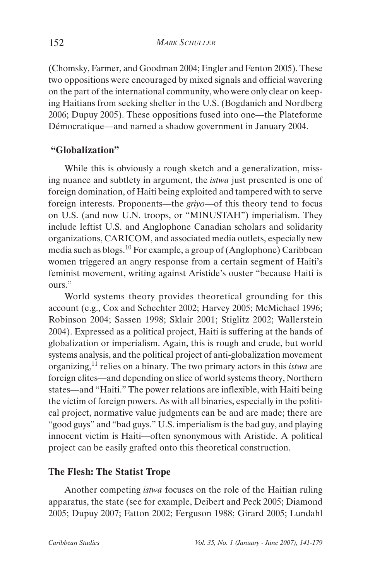(Chomsky, Farmer, and Goodman 2004; Engler and Fenton 2005). These two oppositions were encouraged by mixed signals and official wavering on the part of the international community, who were only clear on keeping Haitians from seeking shelter in the U.S. (Bogdanich and Nordberg 2006; Dupuy 2005). These oppositions fused into one—the Plateforme Démocratique—and named a shadow government in January 2004.

## **"Globalization"**

While this is obviously a rough sketch and a generalization, missing nuance and subtlety in argument, the *istwa* just presented is one of foreign domination, of Haiti being exploited and tampered with to serve foreign interests. Proponents—the *griyo*—of this theory tend to focus on U.S. (and now U.N. troops, or "MINUSTAH") imperialism. They include leftist U.S. and Anglophone Canadian scholars and solidarity organizations, CARICOM, and associated media outlets, especially new media such as blogs.10 For example, a group of (Anglophone) Caribbean women triggered an angry response from a certain segment of Haiti's feminist movement, writing against Aristide's ouster "because Haiti is ours."

World systems theory provides theoretical grounding for this account (e.g., Cox and Schechter 2002; Harvey 2005; McMichael 1996; Robinson 2004; Sassen 1998; Sklair 2001; Stiglitz 2002; Wallerstein 2004). Expressed as a political project, Haiti is suffering at the hands of globalization or imperialism. Again, this is rough and crude, but world systems analysis, and the political project of anti-globalization movement organizing,11 relies on a binary. The two primary actors in this *istwa* are foreign elites—and depending on slice of world systems theory, Northern states—and "Haiti." The power relations are inflexible, with Haiti being the victim of foreign powers. As with all binaries, especially in the political project, normative value judgments can be and are made; there are "good guys" and "bad guys." U.S. imperialism is the bad guy, and playing innocent victim is Haiti—often synonymous with Aristide. A political project can be easily grafted onto this theoretical construction.

## **The Flesh: The Statist Trope**

Another competing *istwa* focuses on the role of the Haitian ruling apparatus, the state (see for example, Deibert and Peck 2005; Diamond 2005; Dupuy 2007; Fatton 2002; Ferguson 1988; Girard 2005; Lundahl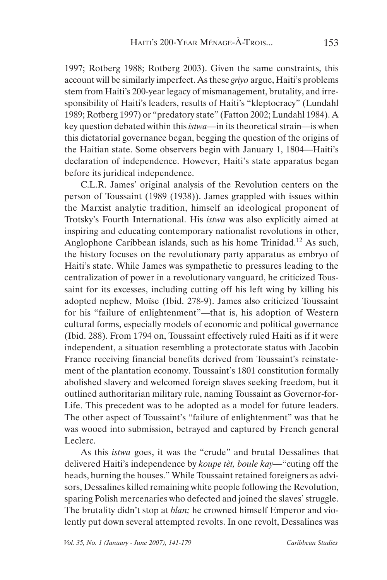1997; Rotberg 1988; Rotberg 2003). Given the same constraints, this account will be similarly imperfect. As these *griyo* argue, Haiti's problems stem from Haiti's 200-year legacy of mismanagement, brutality, and irresponsibility of Haiti's leaders, results of Haiti's "kleptocracy" (Lundahl 1989; Rotberg 1997) or "predatory state" (Fatton 2002; Lundahl 1984). A key question debated within this *istwa—*in its theoretical strain—is when this dictatorial governance began, begging the question of the origins of the Haitian state. Some observers begin with January 1, 1804—Haiti's declaration of independence. However, Haiti's state apparatus began before its juridical independence.

C.L.R. James' original analysis of the Revolution centers on the person of Toussaint (1989 (1938)). James grappled with issues within the Marxist analytic tradition, himself an ideological proponent of Trotsky's Fourth International. His *istwa* was also explicitly aimed at inspiring and educating contemporary nationalist revolutions in other, Anglophone Caribbean islands, such as his home Trinidad.12 As such, the history focuses on the revolutionary party apparatus as embryo of Haiti's state. While James was sympathetic to pressures leading to the centralization of power in a revolutionary vanguard, he criticized Toussaint for its excesses, including cutting off his left wing by killing his adopted nephew, Moïse (Ibid. 278-9). James also criticized Toussaint for his "failure of enlightenment"—that is, his adoption of Western cultural forms, especially models of economic and political governance (Ibid. 288). From 1794 on, Toussaint effectively ruled Haiti as if it were independent, a situation resembling a protectorate status with Jacobin France receiving financial benefits derived from Toussaint's reinstatement of the plantation economy. Toussaint's 1801 constitution formally abolished slavery and welcomed foreign slaves seeking freedom, but it outlined authoritarian military rule, naming Toussaint as Governor-for-Life. This precedent was to be adopted as a model for future leaders. The other aspect of Toussaint's "failure of enlightenment" was that he was wooed into submission, betrayed and captured by French general Leclerc.

As this *istwa* goes, it was the "crude" and brutal Dessalines that delivered Haiti's independence by *koupe tèt, boule kay—*"cuting off the heads, burning the houses." While Toussaint retained foreigners as advisors, Dessalines killed remaining white people following the Revolution, sparing Polish mercenaries who defected and joined the slaves' struggle. The brutality didn't stop at *blan;* he crowned himself Emperor and violently put down several attempted revolts. In one revolt, Dessalines was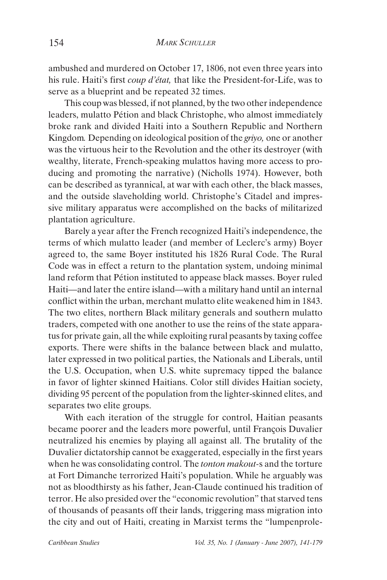ambushed and murdered on October 17, 1806, not even three years into his rule. Haiti's first *coup d'état,* that like the President-for-Life, was to serve as a blueprint and be repeated 32 times.

This coup was blessed, if not planned, by the two other independence leaders, mulatto Pétion and black Christophe, who almost immediately broke rank and divided Haiti into a Southern Republic and Northern Kingdom*.* Depending on ideological position of the *griyo,* one or another was the virtuous heir to the Revolution and the other its destroyer (with wealthy, literate, French-speaking mulattos having more access to producing and promoting the narrative) (Nicholls 1974). However, both can be described as tyrannical, at war with each other, the black masses, and the outside slaveholding world. Christophe's Citadel and impressive military apparatus were accomplished on the backs of militarized plantation agriculture.

Barely a year after the French recognized Haiti's independence, the terms of which mulatto leader (and member of Leclerc's army) Boyer agreed to, the same Boyer instituted his 1826 Rural Code. The Rural Code was in effect a return to the plantation system, undoing minimal land reform that Pétion instituted to appease black masses. Boyer ruled Haiti—and later the entire island—with a military hand until an internal conflict within the urban, merchant mulatto elite weakened him in 1843. The two elites, northern Black military generals and southern mulatto traders, competed with one another to use the reins of the state apparatus for private gain, all the while exploiting rural peasants by taxing coffee exports. There were shifts in the balance between black and mulatto, later expressed in two political parties, the Nationals and Liberals, until the U.S. Occupation, when U.S. white supremacy tipped the balance in favor of lighter skinned Haitians. Color still divides Haitian society, dividing 95 percent of the population from the lighter-skinned elites, and separates two elite groups.

With each iteration of the struggle for control, Haitian peasants became poorer and the leaders more powerful, until François Duvalier neutralized his enemies by playing all against all. The brutality of the Duvalier dictatorship cannot be exaggerated, especially in the first years when he was consolidating control. The *tonton makout-*s and the torture at Fort Dimanche terrorized Haiti's population. While he arguably was not as bloodthirsty as his father, Jean-Claude continued his tradition of terror. He also presided over the "economic revolution" that starved tens of thousands of peasants off their lands, triggering mass migration into the city and out of Haiti, creating in Marxist terms the "lumpenprole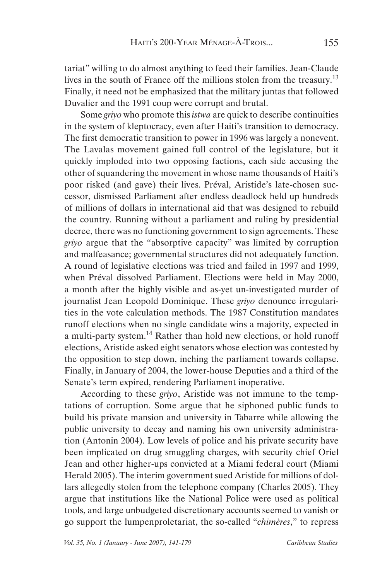tariat" willing to do almost anything to feed their families. Jean-Claude lives in the south of France off the millions stolen from the treasury.<sup>13</sup> Finally, it need not be emphasized that the military juntas that followed Duvalier and the 1991 coup were corrupt and brutal.

Some *griyo* who promote this *istwa* are quick to describe continuities in the system of kleptocracy, even after Haiti's transition to democracy. The first democratic transition to power in 1996 was largely a nonevent. The Lavalas movement gained full control of the legislature, but it quickly imploded into two opposing factions, each side accusing the other of squandering the movement in whose name thousands of Haiti's poor risked (and gave) their lives. Préval, Aristide's late-chosen successor, dismissed Parliament after endless deadlock held up hundreds of millions of dollars in international aid that was designed to rebuild the country. Running without a parliament and ruling by presidential decree, there was no functioning government to sign agreements. These *griyo* argue that the "absorptive capacity" was limited by corruption and malfeasance; governmental structures did not adequately function. A round of legislative elections was tried and failed in 1997 and 1999, when Préval dissolved Parliament. Elections were held in May 2000, a month after the highly visible and as-yet un-investigated murder of journalist Jean Leopold Dominique. These *griyo* denounce irregularities in the vote calculation methods. The 1987 Constitution mandates runoff elections when no single candidate wins a majority, expected in a multi-party system.14 Rather than hold new elections, or hold runoff elections, Aristide asked eight senators whose election was contested by the opposition to step down, inching the parliament towards collapse. Finally, in January of 2004, the lower-house Deputies and a third of the Senate's term expired, rendering Parliament inoperative.

According to these *griyo*, Aristide was not immune to the temptations of corruption. Some argue that he siphoned public funds to build his private mansion and university in Tabarre while allowing the public university to decay and naming his own university administration (Antonin 2004). Low levels of police and his private security have been implicated on drug smuggling charges, with security chief Oriel Jean and other higher-ups convicted at a Miami federal court (Miami Herald 2005). The interim government sued Aristide for millions of dollars allegedly stolen from the telephone company (Charles 2005). They argue that institutions like the National Police were used as political tools, and large unbudgeted discretionary accounts seemed to vanish or go support the lumpenproletariat, the so-called "*chimères*," to repress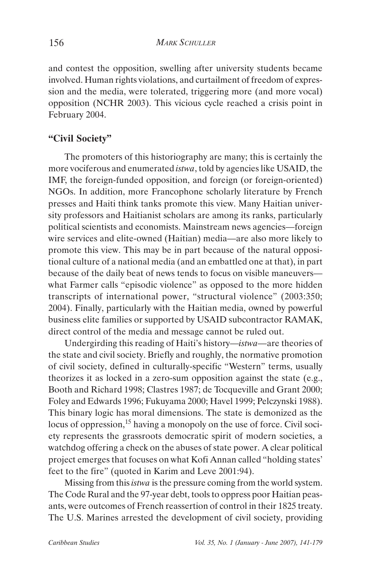and contest the opposition, swelling after university students became involved. Human rights violations, and curtailment of freedom of expression and the media, were tolerated, triggering more (and more vocal) opposition (NCHR 2003). This vicious cycle reached a crisis point in February 2004.

## **"Civil Society"**

The promoters of this historiography are many; this is certainly the more vociferous and enumerated *istwa*, told by agencies like USAID, the IMF, the foreign-funded opposition, and foreign (or foreign-oriented) NGOs. In addition, more Francophone scholarly literature by French presses and Haiti think tanks promote this view. Many Haitian university professors and Haitianist scholars are among its ranks, particularly political scientists and economists. Mainstream news agencies—foreign wire services and elite-owned (Haitian) media—are also more likely to promote this view. This may be in part because of the natural oppositional culture of a national media (and an embattled one at that), in part because of the daily beat of news tends to focus on visible maneuvers what Farmer calls "episodic violence" as opposed to the more hidden transcripts of international power, "structural violence" (2003:350; 2004). Finally, particularly with the Haitian media, owned by powerful business elite families or supported by USAID subcontractor RAMAK, direct control of the media and message cannot be ruled out.

Undergirding this reading of Haiti's history—*istwa—*are theories of the state and civil society. Briefly and roughly, the normative promotion of civil society, defined in culturally-specific "Western" terms, usually theorizes it as locked in a zero-sum opposition against the state (e.g., Booth and Richard 1998; Clastres 1987; de Tocqueville and Grant 2000; Foley and Edwards 1996; Fukuyama 2000; Havel 1999; Pelczynski 1988). This binary logic has moral dimensions. The state is demonized as the locus of oppression,<sup>15</sup> having a monopoly on the use of force. Civil society represents the grassroots democratic spirit of modern societies, a watchdog offering a check on the abuses of state power. A clear political project emerges that focuses on what Kofi Annan called "holding states' feet to the fire" (quoted in Karim and Leve 2001:94).

Missing from this *istwa* is the pressure coming from the world system. The Code Rural and the 97-year debt, tools to oppress poor Haitian peasants, were outcomes of French reassertion of control in their 1825 treaty. The U.S. Marines arrested the development of civil society, providing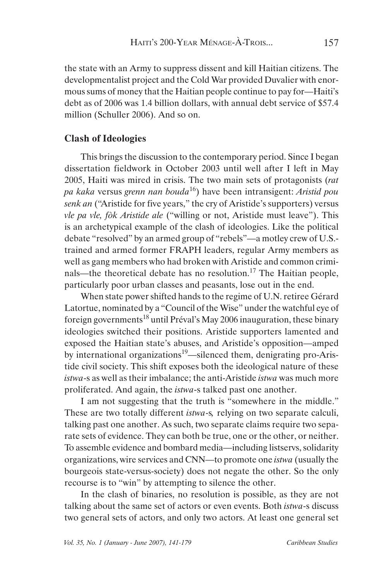the state with an Army to suppress dissent and kill Haitian citizens. The developmentalist project and the Cold War provided Duvalier with enormous sums of money that the Haitian people continue to pay for—Haiti's debt as of 2006 was 1.4 billion dollars, with annual debt service of \$57.4 million (Schuller 2006). And so on.

## **Clash of Ideologies**

This brings the discussion to the contemporary period. Since I began dissertation fieldwork in October 2003 until well after I left in May 2005, Haiti was mired in crisis. The two main sets of protagonists (*rat pa kaka* versus *grenn nan bouda*16) have been intransigent: *Aristid pou senk an* ("Aristide for five years," the cry of Aristide's supporters) versus *vle pa vle, fòk Aristide ale* ("willing or not, Aristide must leave"). This is an archetypical example of the clash of ideologies. Like the political debate "resolved" by an armed group of "rebels"—a motley crew of U.S. trained and armed former FRAPH leaders, regular Army members as well as gang members who had broken with Aristide and common criminals—the theoretical debate has no resolution.<sup>17</sup> The Haitian people, particularly poor urban classes and peasants, lose out in the end.

When state power shifted hands to the regime of U.N. retiree Gérard Latortue, nominated by a "Council of the Wise" under the watchful eye of foreign governments<sup>18</sup> until Préval's May 2006 inauguration, these binary ideologies switched their positions. Aristide supporters lamented and exposed the Haitian state's abuses, and Aristide's opposition—amped by international organizations<sup>19</sup>—silenced them, denigrating pro-Aristide civil society. This shift exposes both the ideological nature of these *istwa*-s as well as their imbalance; the anti-Aristide *istwa* was much more proliferated. And again, the *istwa*-s talked past one another.

I am not suggesting that the truth is "somewhere in the middle." These are two totally different *istwa*-s*,* relying on two separate calculi, talking past one another. As such, two separate claims require two separate sets of evidence. They can both be true, one or the other, or neither. To assemble evidence and bombard media—including listservs, solidarity organizations, wire services and CNN—to promote one *istwa* (usually the bourgeois state-versus-society) does not negate the other. So the only recourse is to "win" by attempting to silence the other.

In the clash of binaries, no resolution is possible, as they are not talking about the same set of actors or even events. Both *istwa*-s discuss two general sets of actors, and only two actors. At least one general set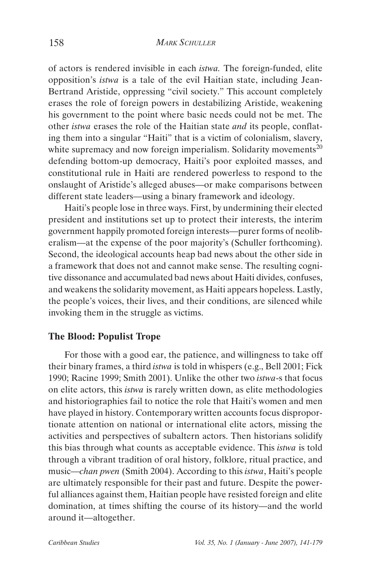of actors is rendered invisible in each *istwa.* The foreign-funded, elite opposition's *istwa* is a tale of the evil Haitian state, including Jean-Bertrand Aristide, oppressing "civil society." This account completely erases the role of foreign powers in destabilizing Aristide, weakening his government to the point where basic needs could not be met. The other *istwa* erases the role of the Haitian state *and* its people, conflating them into a singular "Haiti" that is a victim of colonialism, slavery, white supremacy and now foreign imperialism. Solidarity movements<sup>20</sup> defending bottom-up democracy, Haiti's poor exploited masses, and constitutional rule in Haiti are rendered powerless to respond to the onslaught of Aristide's alleged abuses—or make comparisons between different state leaders—using a binary framework and ideology.

Haiti's people lose in three ways. First, by undermining their elected president and institutions set up to protect their interests, the interim government happily promoted foreign interests—purer forms of neoliberalism—at the expense of the poor majority's (Schuller forthcoming). Second, the ideological accounts heap bad news about the other side in a framework that does not and cannot make sense. The resulting cognitive dissonance and accumulated bad news about Haiti divides, confuses, and weakens the solidarity movement, as Haiti appears hopeless. Lastly, the people's voices, their lives, and their conditions, are silenced while invoking them in the struggle as victims.

#### **The Blood: Populist Trope**

For those with a good ear, the patience, and willingness to take off their binary frames, a third *istwa* is told in whispers (e.g., Bell 2001; Fick 1990; Racine 1999; Smith 2001). Unlike the other two *istwa*-s that focus on elite actors, this *istwa* is rarely written down, as elite methodologies and historiographies fail to notice the role that Haiti's women and men have played in history. Contemporary written accounts focus disproportionate attention on national or international elite actors, missing the activities and perspectives of subaltern actors. Then historians solidify this bias through what counts as acceptable evidence. This *istwa* is told through a vibrant tradition of oral history, folklore, ritual practice, and music—*chan pwen* (Smith 2004). According to this *istwa*, Haiti's people are ultimately responsible for their past and future. Despite the powerful alliances against them, Haitian people have resisted foreign and elite domination, at times shifting the course of its history—and the world around it—altogether.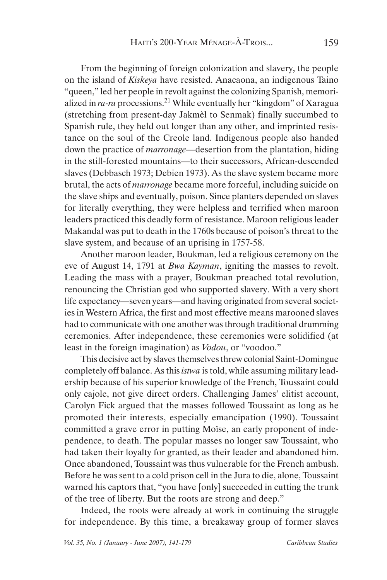From the beginning of foreign colonization and slavery, the people on the island of *Kiskeya* have resisted. Anacaona, an indigenous Taino "queen," led her people in revolt against the colonizing Spanish, memorialized in *ra-ra* processions.21 While eventually her "kingdom" of Xaragua (stretching from present-day Jakmèl to Senmak) finally succumbed to Spanish rule, they held out longer than any other, and imprinted resistance on the soul of the Creole land. Indigenous people also handed down the practice of *marronage—*desertion from the plantation, hiding in the still-forested mountains—to their successors, African-descended slaves (Debbasch 1973; Debien 1973). As the slave system became more brutal, the acts of *marronage* became more forceful, including suicide on the slave ships and eventually, poison. Since planters depended on slaves for literally everything, they were helpless and terrified when maroon leaders practiced this deadly form of resistance. Maroon religious leader Makandal was put to death in the 1760s because of poison's threat to the slave system, and because of an uprising in 1757-58.

Another maroon leader, Boukman, led a religious ceremony on the eve of August 14, 1791 at *Bwa Kayman*, igniting the masses to revolt. Leading the mass with a prayer, Boukman preached total revolution, renouncing the Christian god who supported slavery. With a very short life expectancy—seven years—and having originated from several societies in Western Africa, the first and most effective means marooned slaves had to communicate with one another was through traditional drumming ceremonies. After independence, these ceremonies were solidified (at least in the foreign imagination) as *Vodou*, or "voodoo."

This decisive act by slaves themselves threw colonial Saint-Domingue completely off balance. As this *istwa* is told, while assuming military leadership because of his superior knowledge of the French, Toussaint could only cajole, not give direct orders. Challenging James' elitist account, Carolyn Fick argued that the masses followed Toussaint as long as he promoted their interests, especially emancipation (1990). Toussaint committed a grave error in putting Moïse, an early proponent of independence, to death. The popular masses no longer saw Toussaint, who had taken their loyalty for granted, as their leader and abandoned him. Once abandoned, Toussaint was thus vulnerable for the French ambush. Before he was sent to a cold prison cell in the Jura to die, alone, Toussaint warned his captors that, "you have [only] succeeded in cutting the trunk of the tree of liberty. But the roots are strong and deep."

Indeed, the roots were already at work in continuing the struggle for independence. By this time, a breakaway group of former slaves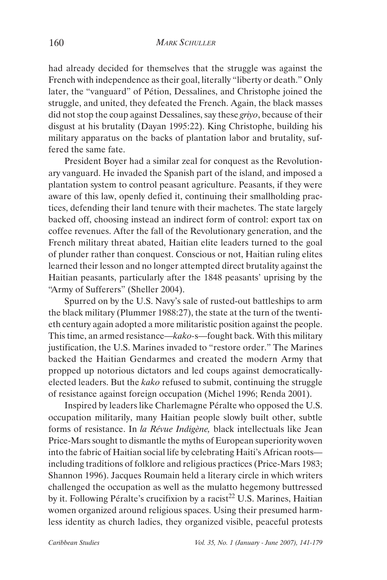had already decided for themselves that the struggle was against the French with independence as their goal, literally "liberty or death." Only later, the "vanguard" of Pétion, Dessalines, and Christophe joined the struggle, and united, they defeated the French. Again, the black masses did not stop the coup against Dessalines, say these *griyo*, because of their disgust at his brutality (Dayan 1995:22). King Christophe, building his military apparatus on the backs of plantation labor and brutality, suffered the same fate.

President Boyer had a similar zeal for conquest as the Revolutionary vanguard. He invaded the Spanish part of the island, and imposed a plantation system to control peasant agriculture. Peasants, if they were aware of this law, openly defied it, continuing their smallholding practices, defending their land tenure with their machetes. The state largely backed off, choosing instead an indirect form of control: export tax on coffee revenues. After the fall of the Revolutionary generation, and the French military threat abated, Haitian elite leaders turned to the goal of plunder rather than conquest. Conscious or not, Haitian ruling elites learned their lesson and no longer attempted direct brutality against the Haitian peasants, particularly after the 1848 peasants' uprising by the "Army of Sufferers" (Sheller 2004).

Spurred on by the U.S. Navy's sale of rusted-out battleships to arm the black military (Plummer 1988:27), the state at the turn of the twentieth century again adopted a more militaristic position against the people. This time, an armed resistance—*kako-*s—fought back. With this military justification, the U.S. Marines invaded to "restore order." The Marines backed the Haitian Gendarmes and created the modern Army that propped up notorious dictators and led coups against democraticallyelected leaders. But the *kako* refused to submit, continuing the struggle of resistance against foreign occupation (Michel 1996; Renda 2001).

Inspired by leaders like Charlemagne Péralte who opposed the U.S. occupation militarily, many Haitian people slowly built other, subtle forms of resistance. In *la Révue Indigène,* black intellectuals like Jean Price-Mars sought to dismantle the myths of European superiority woven into the fabric of Haitian social life by celebrating Haiti's African roots including traditions of folklore and religious practices (Price-Mars 1983; Shannon 1996). Jacques Roumain held a literary circle in which writers challenged the occupation as well as the mulatto hegemony buttressed by it. Following Péralte's crucifixion by a racist<sup>22</sup> U.S. Marines, Haitian women organized around religious spaces. Using their presumed harmless identity as church ladies, they organized visible, peaceful protests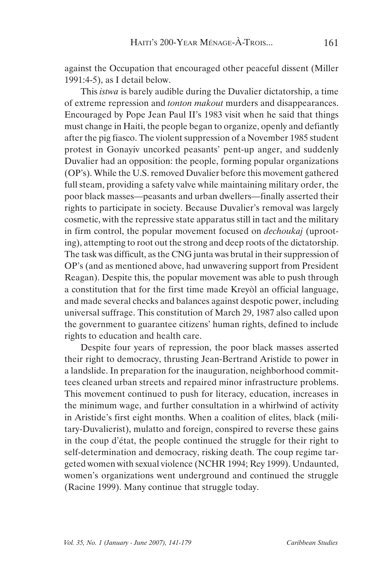against the Occupation that encouraged other peaceful dissent (Miller 1991:4-5), as I detail below.

This *istwa* is barely audible during the Duvalier dictatorship, a time of extreme repression and *tonton makout* murders and disappearances. Encouraged by Pope Jean Paul II's 1983 visit when he said that things must change in Haiti, the people began to organize, openly and defiantly after the pig fiasco. The violent suppression of a November 1985 student protest in Gonayiv uncorked peasants' pent-up anger, and suddenly Duvalier had an opposition: the people, forming popular organizations (OP's). While the U.S. removed Duvalier before this movement gathered full steam, providing a safety valve while maintaining military order, the poor black masses—peasants and urban dwellers—finally asserted their rights to participate in society. Because Duvalier's removal was largely cosmetic, with the repressive state apparatus still in tact and the military in firm control, the popular movement focused on *dechoukaj* (uprooting), attempting to root out the strong and deep roots of the dictatorship. The task was difficult, as the CNG junta was brutal in their suppression of OP's (and as mentioned above, had unwavering support from President Reagan). Despite this, the popular movement was able to push through a constitution that for the first time made Kreyòl an official language, and made several checks and balances against despotic power, including universal suffrage. This constitution of March 29, 1987 also called upon the government to guarantee citizens' human rights, defined to include rights to education and health care.

Despite four years of repression, the poor black masses asserted their right to democracy, thrusting Jean-Bertrand Aristide to power in a landslide. In preparation for the inauguration, neighborhood committees cleaned urban streets and repaired minor infrastructure problems. This movement continued to push for literacy, education, increases in the minimum wage, and further consultation in a whirlwind of activity in Aristide's first eight months. When a coalition of elites, black (military-Duvalierist), mulatto and foreign, conspired to reverse these gains in the coup d'état, the people continued the struggle for their right to self-determination and democracy, risking death. The coup regime targeted women with sexual violence (NCHR 1994; Rey 1999). Undaunted, women's organizations went underground and continued the struggle (Racine 1999). Many continue that struggle today.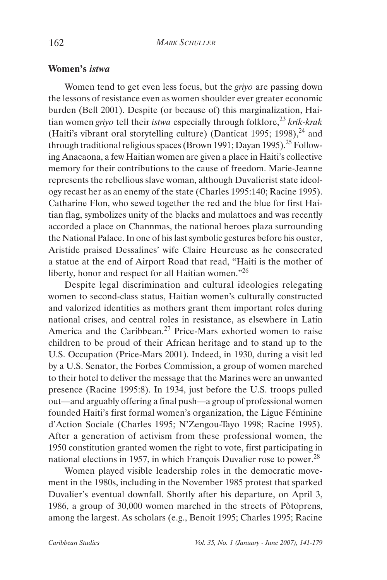#### **Women's** *istwa*

Women tend to get even less focus, but the *griyo* are passing down the lessons of resistance even as women shoulder ever greater economic burden (Bell 2001). Despite (or because of) this marginalization, Haitian women *griyo* tell their *istwa* especially through folklore,<sup>23</sup> krik-krak (Haiti's vibrant oral storytelling culture) (Danticat 1995; 1998), $^{24}$  and through traditional religious spaces (Brown 1991; Dayan 1995).<sup>25</sup> Following Anacaona, a few Haitian women are given a place in Haiti's collective memory for their contributions to the cause of freedom. Marie-Jeanne represents the rebellious slave woman, although Duvalierist state ideology recast her as an enemy of the state (Charles 1995:140; Racine 1995). Catharine Flon, who sewed together the red and the blue for first Haitian flag, symbolizes unity of the blacks and mulattoes and was recently accorded a place on Channmas, the national heroes plaza surrounding the National Palace. In one of his last symbolic gestures before his ouster, Aristide praised Dessalines' wife Claire Heureuse as he consecrated a statue at the end of Airport Road that read, "Haiti is the mother of liberty, honor and respect for all Haitian women."<sup>26</sup>

Despite legal discrimination and cultural ideologies relegating women to second-class status, Haitian women's culturally constructed and valorized identities as mothers grant them important roles during national crises, and central roles in resistance, as elsewhere in Latin America and the Caribbean.<sup>27</sup> Price-Mars exhorted women to raise children to be proud of their African heritage and to stand up to the U.S. Occupation (Price-Mars 2001). Indeed, in 1930, during a visit led by a U.S. Senator, the Forbes Commission, a group of women marched to their hotel to deliver the message that the Marines were an unwanted presence (Racine 1995:8). In 1934, just before the U.S. troops pulled out—and arguably offering a final push—a group of professional women founded Haiti's first formal women's organization, the Ligue Féminine d'Action Sociale (Charles 1995; N'Zengou-Tayo 1998; Racine 1995). After a generation of activism from these professional women, the 1950 constitution granted women the right to vote, first participating in national elections in 1957, in which François Duvalier rose to power.<sup>28</sup>

Women played visible leadership roles in the democratic movement in the 1980s, including in the November 1985 protest that sparked Duvalier's eventual downfall. Shortly after his departure, on April 3, 1986, a group of 30,000 women marched in the streets of Pòtoprens, among the largest. As scholars (e.g., Benoit 1995; Charles 1995; Racine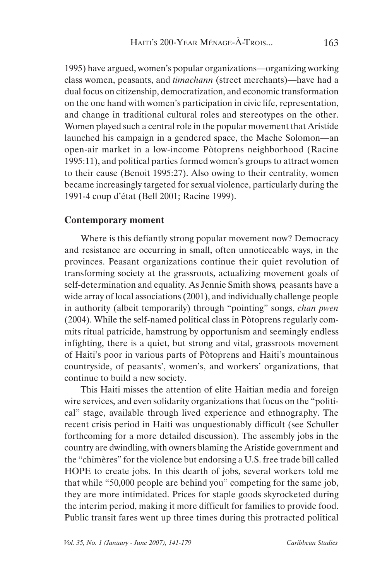1995) have argued, women's popular organizations—organizing working class women, peasants, and *timachann* (street merchants)—have had a dual focus on citizenship, democratization, and economic transformation on the one hand with women's participation in civic life, representation, and change in traditional cultural roles and stereotypes on the other. Women played such a central role in the popular movement that Aristide launched his campaign in a gendered space, the Mache Solomon—an open-air market in a low-income Pòtoprens neighborhood (Racine 1995:11), and political parties formed women's groups to attract women to their cause (Benoit 1995:27). Also owing to their centrality, women became increasingly targeted for sexual violence, particularly during the 1991-4 coup d'état (Bell 2001; Racine 1999).

## **Contemporary moment**

Where is this defiantly strong popular movement now? Democracy and resistance are occurring in small, often unnoticeable ways, in the provinces. Peasant organizations continue their quiet revolution of transforming society at the grassroots, actualizing movement goals of self-determination and equality. As Jennie Smith shows*,* peasants have a wide array of local associations (2001), and individually challenge people in authority (albeit temporarily) through "pointing" songs, *chan pwen* (2004). While the self-named political class in Pòtoprens regularly commits ritual patricide, hamstrung by opportunism and seemingly endless infighting, there is a quiet, but strong and vital, grassroots movement of Haiti's poor in various parts of Pòtoprens and Haiti's mountainous countryside, of peasants', women's, and workers' organizations, that continue to build a new society.

This Haiti misses the attention of elite Haitian media and foreign wire services, and even solidarity organizations that focus on the "political" stage, available through lived experience and ethnography. The recent crisis period in Haiti was unquestionably difficult (see Schuller forthcoming for a more detailed discussion). The assembly jobs in the country are dwindling, with owners blaming the Aristide government and the "chimères" for the violence but endorsing a U.S. free trade bill called HOPE to create jobs. In this dearth of jobs, several workers told me that while "50,000 people are behind you" competing for the same job, they are more intimidated. Prices for staple goods skyrocketed during the interim period, making it more difficult for families to provide food. Public transit fares went up three times during this protracted political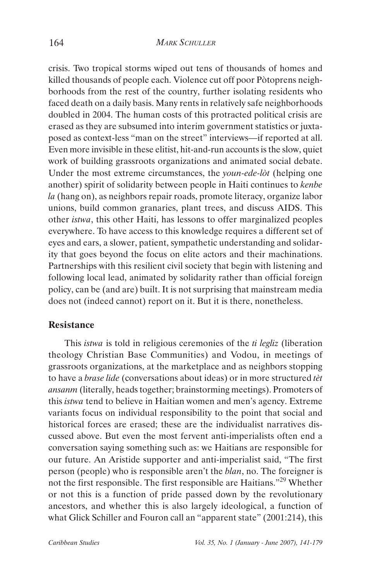crisis. Two tropical storms wiped out tens of thousands of homes and killed thousands of people each. Violence cut off poor Pòtoprens neighborhoods from the rest of the country, further isolating residents who faced death on a daily basis. Many rents in relatively safe neighborhoods doubled in 2004. The human costs of this protracted political crisis are erased as they are subsumed into interim government statistics or juxtaposed as context-less "man on the street" interviews—if reported at all. Even more invisible in these elitist, hit-and-run accounts is the slow, quiet work of building grassroots organizations and animated social debate. Under the most extreme circumstances, the *youn-ede-lòt* (helping one another) spirit of solidarity between people in Haiti continues to *kenbe la* (hang on), as neighbors repair roads, promote literacy, organize labor unions, build common granaries, plant trees, and discuss AIDS. This other *istwa*, this other Haiti, has lessons to offer marginalized peoples everywhere. To have access to this knowledge requires a different set of eyes and ears, a slower, patient, sympathetic understanding and solidarity that goes beyond the focus on elite actors and their machinations. Partnerships with this resilient civil society that begin with listening and following local lead, animated by solidarity rather than official foreign policy, can be (and are) built. It is not surprising that mainstream media does not (indeed cannot) report on it. But it is there, nonetheless.

## **Resistance**

This *istwa* is told in religious ceremonies of the *ti legliz* (liberation theology Christian Base Communities) and Vodou, in meetings of grassroots organizations, at the marketplace and as neighbors stopping to have a *brase lide* (conversations about ideas) or in more structured *tèt ansanm* (literally, heads together; brainstorming meetings). Promoters of this *istwa* tend to believe in Haitian women and men's agency. Extreme variants focus on individual responsibility to the point that social and historical forces are erased; these are the individualist narratives discussed above. But even the most fervent anti-imperialists often end a conversation saying something such as: we Haitians are responsible for our future. An Aristide supporter and anti-imperialist said, "The first person (people) who is responsible aren't the *blan*, no. The foreigner is not the first responsible. The first responsible are Haitians."29 Whether or not this is a function of pride passed down by the revolutionary ancestors, and whether this is also largely ideological, a function of what Glick Schiller and Fouron call an "apparent state" (2001:214), this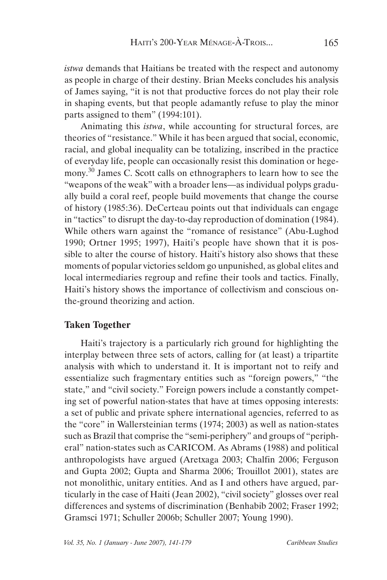*istwa* demands that Haitians be treated with the respect and autonomy as people in charge of their destiny. Brian Meeks concludes his analysis of James saying, "it is not that productive forces do not play their role in shaping events, but that people adamantly refuse to play the minor parts assigned to them" (1994:101).

Animating this *istwa*, while accounting for structural forces, are theories of "resistance." While it has been argued that social, economic, racial, and global inequality can be totalizing, inscribed in the practice of everyday life, people can occasionally resist this domination or hegemony.30 James C. Scott calls on ethnographers to learn how to see the "weapons of the weak" with a broader lens—as individual polyps gradually build a coral reef, people build movements that change the course of history (1985:36). DeCerteau points out that individuals can engage in "tactics" to disrupt the day-to-day reproduction of domination (1984). While others warn against the "romance of resistance" (Abu-Lughod 1990; Ortner 1995; 1997), Haiti's people have shown that it is possible to alter the course of history. Haiti's history also shows that these moments of popular victories seldom go unpunished, as global elites and local intermediaries regroup and refine their tools and tactics. Finally, Haiti's history shows the importance of collectivism and conscious onthe-ground theorizing and action.

# **Taken Together**

Haiti's trajectory is a particularly rich ground for highlighting the interplay between three sets of actors, calling for (at least) a tripartite analysis with which to understand it. It is important not to reify and essentialize such fragmentary entities such as "foreign powers," "the state," and "civil society." Foreign powers include a constantly competing set of powerful nation-states that have at times opposing interests: a set of public and private sphere international agencies, referred to as the "core" in Wallersteinian terms (1974; 2003) as well as nation-states such as Brazil that comprise the "semi-periphery" and groups of "peripheral" nation-states such as CARICOM. As Abrams (1988) and political anthropologists have argued (Aretxaga 2003; Chalfin 2006; Ferguson and Gupta 2002; Gupta and Sharma 2006; Trouillot 2001), states are not monolithic, unitary entities. And as I and others have argued, particularly in the case of Haiti (Jean 2002), "civil society" glosses over real differences and systems of discrimination (Benhabib 2002; Fraser 1992; Gramsci 1971; Schuller 2006b; Schuller 2007; Young 1990).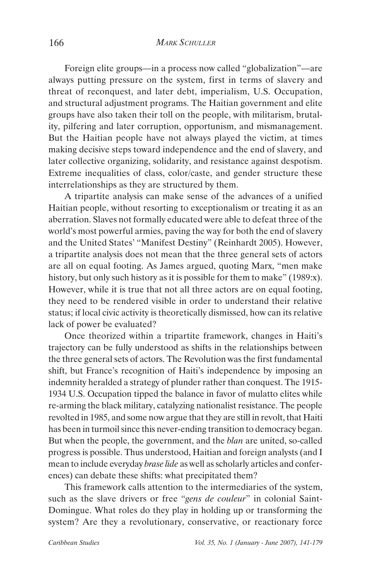Foreign elite groups—in a process now called "globalization"—are always putting pressure on the system, first in terms of slavery and threat of reconquest, and later debt, imperialism, U.S. Occupation, and structural adjustment programs. The Haitian government and elite groups have also taken their toll on the people, with militarism, brutality, pilfering and later corruption, opportunism, and mismanagement. But the Haitian people have not always played the victim, at times making decisive steps toward independence and the end of slavery, and later collective organizing, solidarity, and resistance against despotism. Extreme inequalities of class, color/caste, and gender structure these interrelationships as they are structured by them.

A tripartite analysis can make sense of the advances of a unified Haitian people, without resorting to exceptionalism or treating it as an aberration. Slaves not formally educated were able to defeat three of the world's most powerful armies, paving the way for both the end of slavery and the United States' "Manifest Destiny" (Reinhardt 2005). However, a tripartite analysis does not mean that the three general sets of actors are all on equal footing. As James argued, quoting Marx, "men make history, but only such history as it is possible for them to make" (1989:x). However, while it is true that not all three actors are on equal footing, they need to be rendered visible in order to understand their relative status; if local civic activity is theoretically dismissed, how can its relative lack of power be evaluated?

Once theorized within a tripartite framework, changes in Haiti's trajectory can be fully understood as shifts in the relationships between the three general sets of actors. The Revolution was the first fundamental shift, but France's recognition of Haiti's independence by imposing an indemnity heralded a strategy of plunder rather than conquest. The 1915- 1934 U.S. Occupation tipped the balance in favor of mulatto elites while re-arming the black military, catalyzing nationalist resistance. The people revolted in 1985, and some now argue that they are still in revolt, that Haiti has been in turmoil since this never-ending transition to democracy began. But when the people, the government, and the *blan* are united, so-called progress is possible. Thus understood, Haitian and foreign analysts (and I mean to include everyday *brase lide* as well as scholarly articles and conferences) can debate these shifts: what precipitated them?

This framework calls attention to the intermediaries of the system, such as the slave drivers or free "*gens de couleur*" in colonial Saint-Domingue. What roles do they play in holding up or transforming the system? Are they a revolutionary, conservative, or reactionary force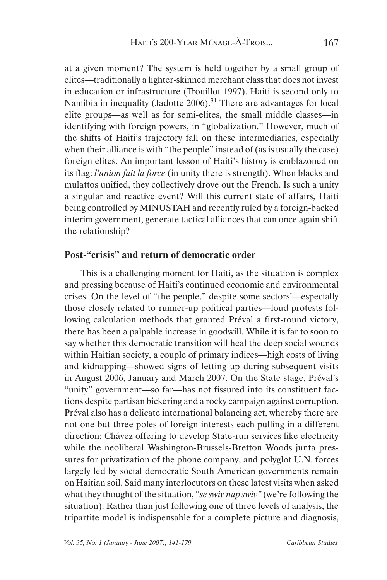at a given moment? The system is held together by a small group of elites—traditionally a lighter-skinned merchant class that does not invest in education or infrastructure (Trouillot 1997). Haiti is second only to Namibia in inequality (Jadotte  $2006$ ).<sup>31</sup> There are advantages for local elite groups—as well as for semi-elites, the small middle classes—in identifying with foreign powers, in "globalization." However, much of the shifts of Haiti's trajectory fall on these intermediaries, especially when their alliance is with "the people" instead of (as is usually the case) foreign elites. An important lesson of Haiti's history is emblazoned on its flag: *l'union fait la force* (in unity there is strength). When blacks and mulattos unified, they collectively drove out the French. Is such a unity a singular and reactive event? Will this current state of affairs, Haiti being controlled by MINUSTAH and recently ruled by a foreign-backed interim government, generate tactical alliances that can once again shift the relationship?

# **Post-"crisis" and return of democratic order**

This is a challenging moment for Haiti, as the situation is complex and pressing because of Haiti's continued economic and environmental crises. On the level of "the people," despite some sectors'—especially those closely related to runner-up political parties—loud protests following calculation methods that granted Préval a first-round victory, there has been a palpable increase in goodwill. While it is far to soon to say whether this democratic transition will heal the deep social wounds within Haitian society, a couple of primary indices—high costs of living and kidnapping—showed signs of letting up during subsequent visits in August 2006, January and March 2007. On the State stage, Préval's "unity" government—so far—has not fissured into its constituent factions despite partisan bickering and a rocky campaign against corruption. Préval also has a delicate international balancing act, whereby there are not one but three poles of foreign interests each pulling in a different direction: Chávez offering to develop State-run services like electricity while the neoliberal Washington-Brussels-Bretton Woods junta pressures for privatization of the phone company, and polyglot U.N. forces largely led by social democratic South American governments remain on Haitian soil. Said many interlocutors on these latest visits when asked what they thought of the situation, "*se swiv nap swiv"* (we're following the situation). Rather than just following one of three levels of analysis, the tripartite model is indispensable for a complete picture and diagnosis,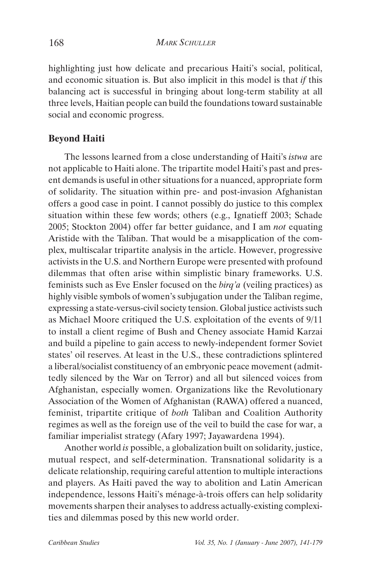highlighting just how delicate and precarious Haiti's social, political, and economic situation is. But also implicit in this model is that *if* this balancing act is successful in bringing about long-term stability at all three levels, Haitian people can build the foundations toward sustainable social and economic progress.

## **Beyond Haiti**

The lessons learned from a close understanding of Haiti's *istwa* are not applicable to Haiti alone. The tripartite model Haiti's past and present demands is useful in other situations for a nuanced, appropriate form of solidarity. The situation within pre- and post-invasion Afghanistan offers a good case in point. I cannot possibly do justice to this complex situation within these few words; others (e.g., Ignatieff 2003; Schade 2005; Stockton 2004) offer far better guidance, and I am *not* equating Aristide with the Taliban. That would be a misapplication of the complex, multiscalar tripartite analysis in the article. However, progressive activists in the U.S. and Northern Europe were presented with profound dilemmas that often arise within simplistic binary frameworks. U.S. feminists such as Eve Ensler focused on the *birq'a* (veiling practices) as highly visible symbols of women's subjugation under the Taliban regime, expressing a state-versus-civil society tension. Global justice activists such as Michael Moore critiqued the U.S. exploitation of the events of 9/11 to install a client regime of Bush and Cheney associate Hamid Karzai and build a pipeline to gain access to newly-independent former Soviet states' oil reserves. At least in the U.S., these contradictions splintered a liberal/socialist constituency of an embryonic peace movement (admittedly silenced by the War on Terror) and all but silenced voices from Afghanistan, especially women. Organizations like the Revolutionary Association of the Women of Afghanistan (RAWA) offered a nuanced, feminist, tripartite critique of *both* Taliban and Coalition Authority regimes as well as the foreign use of the veil to build the case for war, a familiar imperialist strategy (Afary 1997; Jayawardena 1994).

Another world *is* possible, a globalization built on solidarity, justice, mutual respect, and self-determination. Transnational solidarity is a delicate relationship, requiring careful attention to multiple interactions and players. As Haiti paved the way to abolition and Latin American independence, lessons Haiti's ménage-à-trois offers can help solidarity movements sharpen their analyses to address actually-existing complexities and dilemmas posed by this new world order.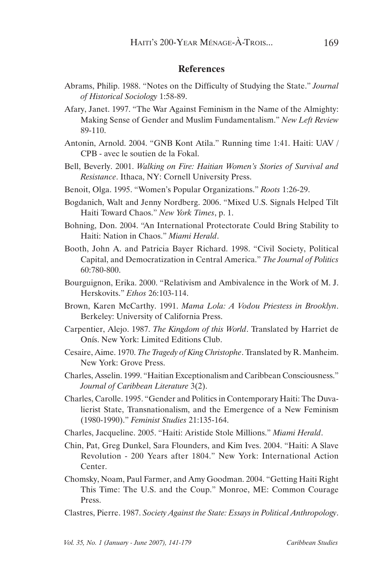## **References**

- Abrams, Philip. 1988. "Notes on the Difficulty of Studying the State." *Journal of Historical Sociology* 1:58-89.
- Afary, Janet. 1997. "The War Against Feminism in the Name of the Almighty: Making Sense of Gender and Muslim Fundamentalism." *New Left Review* 89-110.
- Antonin, Arnold. 2004. "GNB Kont Atila." Running time 1:41. Haiti: UAV / CPB - avec le soutien de la Fokal.
- Bell, Beverly. 2001. *Walking on Fire: Haitian Women's Stories of Survival and Resistance*. Ithaca, NY: Cornell University Press.
- Benoit, Olga. 1995. "Women's Popular Organizations." *Roots* 1:26-29.
- Bogdanich, Walt and Jenny Nordberg. 2006. "Mixed U.S. Signals Helped Tilt Haiti Toward Chaos." *New York Times*, p. 1.
- Bohning, Don. 2004. "An International Protectorate Could Bring Stability to Haiti: Nation in Chaos." *Miami Herald*.
- Booth, John A. and Patricia Bayer Richard. 1998. "Civil Society, Political Capital, and Democratization in Central America." *The Journal of Politics* 60:780-800.
- Bourguignon, Erika. 2000. "Relativism and Ambivalence in the Work of M. J. Herskovits." *Ethos* 26:103-114.
- Brown, Karen McCarthy. 1991. *Mama Lola: A Vodou Priestess in Brooklyn*. Berkeley: University of California Press.
- Carpentier, Alejo. 1987. *The Kingdom of this World*. Translated by Harriet de Onís. New York: Limited Editions Club.
- Cesaire, Aime. 1970. *The Tragedy of King Christophe*. Translated by R. Manheim. New York: Grove Press.
- Charles, Asselin. 1999. "Haitian Exceptionalism and Caribbean Consciousness." *Journal of Caribbean Literature* 3(2).
- Charles, Carolle. 1995. "Gender and Politics in Contemporary Haiti: The Duvalierist State, Transnationalism, and the Emergence of a New Feminism (1980-1990)." *Feminist Studies* 21:135-164.
- Charles, Jacqueline. 2005. "Haiti: Aristide Stole Millions." *Miami Herald*.
- Chin, Pat, Greg Dunkel, Sara Flounders, and Kim Ives. 2004. "Haiti: A Slave Revolution - 200 Years after 1804." New York: International Action Center.
- Chomsky, Noam, Paul Farmer, and Amy Goodman. 2004. "Getting Haiti Right This Time: The U.S. and the Coup." Monroe, ME: Common Courage Press.
- Clastres, Pierre. 1987. *Society Against the State: Essays in Political Anthropology*.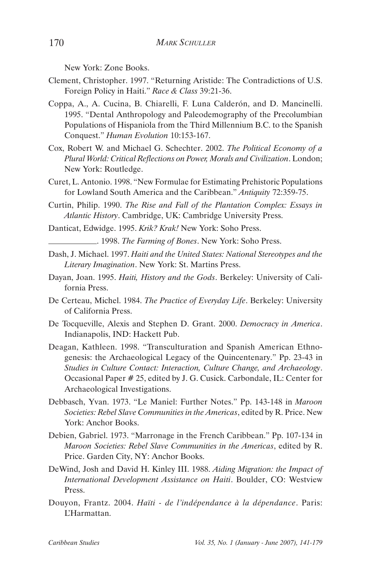New York: Zone Books.

- Clement, Christopher. 1997. "Returning Aristide: The Contradictions of U.S. Foreign Policy in Haiti." *Race & Class* 39:21-36.
- Coppa, A., A. Cucina, B. Chiarelli, F. Luna Calderón, and D. Mancinelli. 1995. "Dental Anthropology and Paleodemography of the Precolumbian Populations of Hispaniola from the Third Millennium B.C. to the Spanish Conquest." *Human Evolution* 10:153-167.
- Cox, Robert W. and Michael G. Schechter. 2002. *The Political Economy of a Plural World: Critical Reflections on Power, Morals and Civilization*. London; New York: Routledge.
- Curet, L. Antonio. 1998. "New Formulae for Estimating Prehistoric Populations for Lowland South America and the Caribbean." *Antiquity* 72:359-75.
- Curtin, Philip. 1990. *The Rise and Fall of the Plantation Complex: Essays in Atlantic History*. Cambridge, UK: Cambridge University Press.
- Danticat, Edwidge. 1995. *Krik? Krak!* New York: Soho Press.
	- . 1998. *The Farming of Bones*. New York: Soho Press.
- Dash, J. Michael. 1997. *Haiti and the United States: National Stereotypes and the Literary Imagination*. New York: St. Martins Press.
- Dayan, Joan. 1995. *Haiti, History and the Gods*. Berkeley: University of California Press.
- De Certeau, Michel. 1984. *The Practice of Everyday Life*. Berkeley: University of California Press.
- De Tocqueville, Alexis and Stephen D. Grant. 2000. *Democracy in America*. Indianapolis, IND: Hackett Pub.
- Deagan, Kathleen. 1998. "Transculturation and Spanish American Ethnogenesis: the Archaeological Legacy of the Quincentenary." Pp. 23-43 in *Studies in Culture Contact: Interaction, Culture Change, and Archaeology*. Occasional Paper # 25, edited by J. G. Cusick. Carbondale, IL: Center for Archaeological Investigations.
- Debbasch, Yvan. 1973. "Le Maniel: Further Notes." Pp. 143-148 in *Maroon Societies: Rebel Slave Communities in the Americas*, edited by R. Price. New York: Anchor Books.
- Debien, Gabriel. 1973. "Marronage in the French Caribbean." Pp. 107-134 in *Maroon Societies: Rebel Slave Communities in the Americas*, edited by R. Price. Garden City, NY: Anchor Books.
- DeWind, Josh and David H. Kinley III. 1988. *Aiding Migration: the Impact of International Development Assistance on Haiti*. Boulder, CO: Westview Press.
- Douyon, Frantz. 2004. *Haïti de l'indépendance à la dépendance*. Paris: L'Harmattan.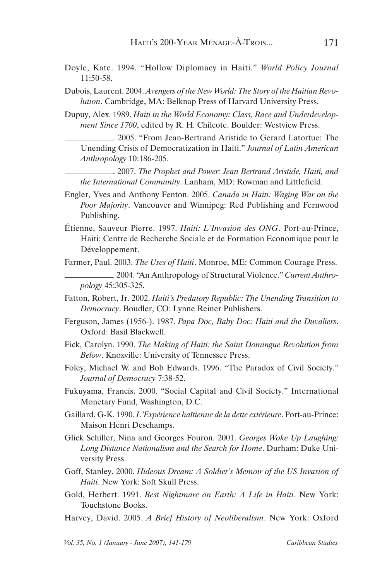- Doyle, Kate. 1994. "Hollow Diplomacy in Haiti." *World Policy Journal* 11:50-58.
- Dubois, Laurent. 2004. *Avengers of the New World: The Story of the Haitian Revolution*. Cambridge, MA: Belknap Press of Harvard University Press.

Dupuy, Alex. 1989. *Haiti in the World Economy: Class, Race and Underdevelopment Since 1700*, edited by R. H. Chilcote. Boulder: Westview Press.

. 2005. "From Jean-Bertrand Aristide to Gerard Latortue: The Unending Crisis of Democratization in Haiti." *Journal of Latin American Anthropology* 10:186-205.

. 2007. *The Prophet and Power: Jean Bertrand Aristide, Haiti, and the International Community*. Lanham, MD: Rowman and Littlefield.

- Engler, Yves and Anthony Fenton. 2005. *Canada in Haiti: Waging War on the Poor Majority*. Vancouver and Winnipeg: Red Publishing and Fernwood Publishing.
- Étienne, Sauveur Pierre. 1997. *Haiti: L'Invasion des ONG*. Port-au-Prince, Haiti: Centre de Recherche Sociale et de Formation Economique pour le Développement.
- Farmer, Paul. 2003. *The Uses of Haiti*. Monroe, ME: Common Courage Press. . 2004. "An Anthropology of Structural Violence." *Current Anthropology* 45:305-325.
- Fatton, Robert, Jr. 2002. *Haiti's Predatory Republic: The Unending Transition to Democracy*. Boudler, CO: Lynne Reiner Publishers.
- Ferguson, James (1956-). 1987. *Papa Doc, Baby Doc: Haiti and the Duvaliers*. Oxford: Basil Blackwell.
- Fick, Carolyn. 1990. *The Making of Haiti: the Saint Domingue Revolution from Below*. Knoxville: University of Tennessee Press.
- Foley, Michael W. and Bob Edwards. 1996. "The Paradox of Civil Society." *Journal of Democracy* 7:38-52.
- Fukuyama, Francis. 2000. "Social Capital and Civil Society." International Monetary Fund, Washington, D.C.
- Gaillard, G-K. 1990. *L'Expérience haïtienne de la dette extérieure*. Port-au-Prince: Maison Henri Deschamps.
- Glick Schiller, Nina and Georges Fouron. 2001. *Georges Woke Up Laughing: Long Distance Nationalism and the Search for Home*. Durham: Duke University Press.
- Goff, Stanley. 2000. *Hideous Dream: A Soldier's Memoir of the US Invasion of Haiti*. New York: Soft Skull Press.
- Gold, Herbert. 1991. *Best Nightmare on Earth: A Life in Haiti*. New York: Touchstone Books.
- Harvey, David. 2005. *A Brief History of Neoliberalism*. New York: Oxford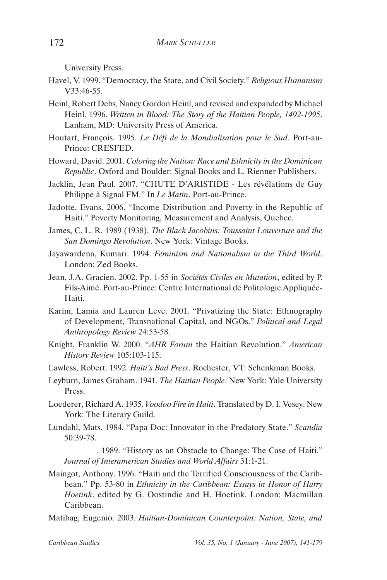University Press.

- Havel, V. 1999. "Democracy, the State, and Civil Society." *Religious Humanism* V33:46-55.
- Heinl, Robert Debs, Nancy Gordon Heinl, and revised and expanded by Michael Heinl. 1996. *Written in Blood: The Story of the Haitian People, 1492-1995*. Lanham, MD: University Press of America.
- Houtart, François. 1995. *Le Défi de la Mondialisation pour le Sud*. Port-au-Prince: CRESFED.
- Howard, David. 2001. *Coloring the Nation: Race and Ethnicity in the Dominican Republic*. Oxford and Boulder: Signal Books and L. Rienner Publishers.
- Jacklin, Jean Paul. 2007. "CHUTE D'ARISTIDE Les révélations de Guy Philippe à Signal FM." In *Le Matin*. Port-au-Prince.
- Jadotte, Evans. 2006. "Income Distribution and Poverty in the Republic of Haiti." Poverty Monitoring, Measurement and Analysis, Quebec.
- James, C. L. R. 1989 (1938). *The Black Jacobins: Toussaint Louverture and the San Domingo Revolution*. New York: Vintage Books.
- Jayawardena, Kumari. 1994. *Feminism and Nationalism in the Third World*. London: Zed Books.
- Jean, J.A. Gracien. 2002. Pp. 1-55 in *Sociétés Civiles en Mutation*, edited by P. Fils-Aimé. Port-au-Prince: Centre International de Politologie Appliquée-Haïti.
- Karim, Lamia and Lauren Leve. 2001. "Privatizing the State: Ethnography of Development, Transnational Capital, and NGOs." *Political and Legal Anthropology Review* 24:53-58.
- Knight, Franklin W. 2000. "*AHR Forum* the Haitian Revolution." *American History Review* 105:103-115.
- Lawless, Robert. 1992. *Haiti's Bad Press*. Rochester, VT: Schenkman Books.
- Leyburn, James Graham. 1941. *The Haitian People*. New York: Yale University Press.
- Loederer, Richard A. 1935. *Voodoo Fire in Haiti*. Translated by D. I. Vesey. New York: The Literary Guild.
- Lundahl, Mats. 1984. "Papa Doc: Innovator in the Predatory State." *Scandia* 50:39-78.

. 1989. "History as an Obstacle to Change: The Case of Haiti." *Journal of Interamerican Studies and World Affairs* 31:1-21.

- Maingot, Anthony. 1996. "Haiti and the Terrified Consciousness of the Caribbean." Pp. 53-80 in *Ethnicity in the Caribbean: Essays in Honor of Harry Hoetink*, edited by G. Oostindie and H. Hoetink. London: Macmillan Caribbean.
- Matibag, Eugenio. 2003. *Haitian-Dominican Counterpoint: Nation, State, and*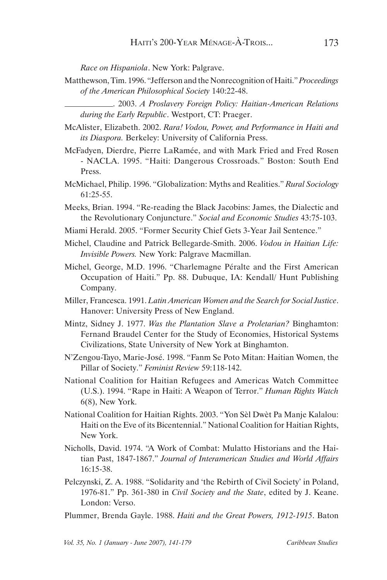*Race on Hispaniola*. New York: Palgrave.

Matthewson, Tim. 1996. "Jefferson and the Nonrecognition of Haiti." *Proceedings of the American Philosophical Society* 140:22-48.

. 2003. *A Proslavery Foreign Policy: Haitian-American Relations during the Early Republic*. Westport, CT: Praeger.

- McAlister, Elizabeth. 2002. *Rara! Vodou, Power, and Performance in Haiti and its Diaspora.* Berkeley: University of California Press.
- McFadyen, Dierdre, Pierre LaRamée, and with Mark Fried and Fred Rosen - NACLA. 1995. "Haiti: Dangerous Crossroads." Boston: South End Press.
- McMichael, Philip. 1996. "Globalization: Myths and Realities." *Rural Sociology* 61:25-55.
- Meeks, Brian. 1994. "Re-reading the Black Jacobins: James, the Dialectic and the Revolutionary Conjuncture." *Social and Economic Studies* 43:75-103.
- Miami Herald. 2005. "Former Security Chief Gets 3-Year Jail Sentence."
- Michel, Claudine and Patrick Bellegarde-Smith. 2006. *Vodou in Haitian Life: Invisible Powers.* New York: Palgrave Macmillan.
- Michel, George, M.D. 1996. "Charlemagne Péralte and the First American Occupation of Haiti." Pp. 88. Dubuque, IA: Kendall/ Hunt Publishing Company.
- Miller, Francesca. 1991. *Latin American Women and the Search for Social Justice*. Hanover: University Press of New England.
- Mintz, Sidney J. 1977. *Was the Plantation Slave a Proletarian?* Binghamton: Fernand Braudel Center for the Study of Economies, Historical Systems Civilizations, State University of New York at Binghamton.
- N'Zengou-Tayo, Marie-José. 1998. "Fanm Se Poto Mitan: Haitian Women, the Pillar of Society." *Feminist Review* 59:118-142.
- National Coalition for Haitian Refugees and Americas Watch Committee (U.S.). 1994. "Rape in Haiti: A Weapon of Terror." *Human Rights Watch* 6(8), New York.
- National Coalition for Haitian Rights. 2003. "Yon Sèl Dwèt Pa Manje Kalalou: Haiti on the Eve of its Bicentennial." National Coalition for Haitian Rights, New York.
- Nicholls, David. 1974. "A Work of Combat: Mulatto Historians and the Haitian Past, 1847-1867." *Journal of Interamerican Studies and World Affairs* 16:15-38.
- Pelczynski, Z. A. 1988. "Solidarity and 'the Rebirth of Civil Society' in Poland, 1976-81." Pp. 361-380 in *Civil Society and the State*, edited by J. Keane. London: Verso.
- Plummer, Brenda Gayle. 1988. *Haiti and the Great Powers, 1912-1915*. Baton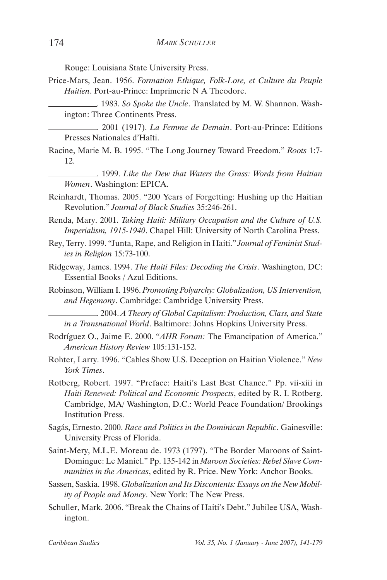Rouge: Louisiana State University Press.

Price-Mars, Jean. 1956. *Formation Ethique, Folk-Lore, et Culture du Peuple Haitien*. Port-au-Prince: Imprimerie N A Theodore.

. 1983. *So Spoke the Uncle*. Translated by M. W. Shannon. Washington: Three Continents Press.

. 2001 (1917). *La Femme de Demain*. Port-au-Prince: Editions Presses Nationales d'Haïti.

Racine, Marie M. B. 1995. "The Long Journey Toward Freedom." *Roots* 1:7- 12.

. 1999. *Like the Dew that Waters the Grass: Words from Haitian Women*. Washington: EPICA.

Reinhardt, Thomas. 2005. "200 Years of Forgetting: Hushing up the Haitian Revolution." *Journal of Black Studies* 35:246-261.

Renda, Mary. 2001. *Taking Haiti: Military Occupation and the Culture of U.S. Imperialism, 1915-1940*. Chapel Hill: University of North Carolina Press.

- Rey, Terry. 1999. "Junta, Rape, and Religion in Haiti." *Journal of Feminist Studies in Religion* 15:73-100.
- Ridgeway, James. 1994. *The Haiti Files: Decoding the Crisis*. Washington, DC: Essential Books / Azul Editions.
- Robinson, William I. 1996. *Promoting Polyarchy: Globalization, US Intervention, and Hegemony*. Cambridge: Cambridge University Press.

. 2004. *A Theory of Global Capitalism: Production, Class, and State in a Transnational World*. Baltimore: Johns Hopkins University Press.

- Rodríguez O., Jaime E. 2000. "*AHR Forum:* The Emancipation of America." *American History Review* 105:131-152.
- Rohter, Larry. 1996. "Cables Show U.S. Deception on Haitian Violence." *New York Times*.
- Rotberg, Robert. 1997. "Preface: Haiti's Last Best Chance." Pp. vii-xiii in *Haiti Renewed: Political and Economic Prospects*, edited by R. I. Rotberg. Cambridge, MA/ Washington, D.C.: World Peace Foundation/ Brookings Institution Press.
- Sagás, Ernesto. 2000. *Race and Politics in the Dominican Republic*. Gainesville: University Press of Florida.
- Saint-Mery, M.L.E. Moreau de. 1973 (1797). "The Border Maroons of Saint-Domingue: Le Maniel." Pp. 135-142 in *Maroon Societies: Rebel Slave Communities in the Americas*, edited by R. Price. New York: Anchor Books.
- Sassen, Saskia. 1998. *Globalization and Its Discontents: Essays on the New Mobility of People and Money*. New York: The New Press.
- Schuller, Mark. 2006. "Break the Chains of Haiti's Debt." Jubilee USA, Washington.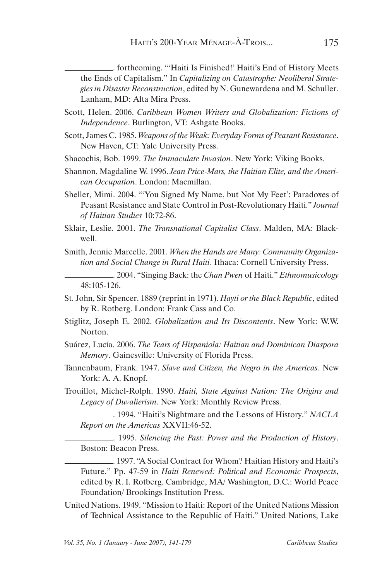. forthcoming. "'Haiti Is Finished!' Haiti's End of History Meets the Ends of Capitalism." In *Capitalizing on Catastrophe: Neoliberal Strategies in Disaster Reconstruction*, edited by N. Gunewardena and M. Schuller. Lanham, MD: Alta Mira Press.

- Scott, Helen. 2006. *Caribbean Women Writers and Globalization: Fictions of Independence*. Burlington, VT: Ashgate Books.
- Scott, James C. 1985. *Weapons of the Weak: Everyday Forms of Peasant Resistance*. New Haven, CT: Yale University Press.
- Shacochis, Bob. 1999. *The Immaculate Invasion*. New York: Viking Books.
- Shannon, Magdaline W. 1996. *Jean Price-Mars, the Haitian Elite, and the American Occupation*. London: Macmillan.
- Sheller, Mimi. 2004. "'You Signed My Name, but Not My Feet': Paradoxes of Peasant Resistance and State Control in Post-Revolutionary Haiti." *Journal of Haitian Studies* 10:72-86.
- Sklair, Leslie. 2001. *The Transnational Capitalist Class*. Malden, MA: Blackwell.
- Smith, Jennie Marcelle. 2001. *When the Hands are Many: Community Organization and Social Change in Rural Haiti*. Ithaca: Cornell University Press.

. 2004. "Singing Back: the *Chan Pwen* of Haiti." *Ethnomusicology* 48:105-126.

- St. John, Sir Spencer. 1889 (reprint in 1971). *Hayti or the Black Republic*, edited by R. Rotberg. London: Frank Cass and Co.
- Stiglitz, Joseph E. 2002. *Globalization and Its Discontents*. New York: W.W. Norton.
- Suárez, Lucía. 2006. *The Tears of Hispaniola: Haitian and Dominican Diaspora Memory*. Gainesville: University of Florida Press.
- Tannenbaum, Frank. 1947. *Slave and Citizen, the Negro in the Americas*. New York: A. A. Knopf.
- Trouillot, Michel-Rolph. 1990. *Haiti, State Against Nation: The Origins and Legacy of Duvalierism*. New York: Monthly Review Press.

. 1994. "Haiti's Nightmare and the Lessons of History." *NACLA Report on the Americas* XXVII:46-52.

. 1995. *Silencing the Past: Power and the Production of History*. Boston: Beacon Press.

. 1997. "A Social Contract for Whom? Haitian History and Haiti's Future." Pp. 47-59 in *Haiti Renewed: Political and Economic Prospects*, edited by R. I. Rotberg. Cambridge, MA/ Washington, D.C.: World Peace Foundation/ Brookings Institution Press.

United Nations. 1949. "Mission to Haiti: Report of the United Nations Mission of Technical Assistance to the Republic of Haiti." United Nations, Lake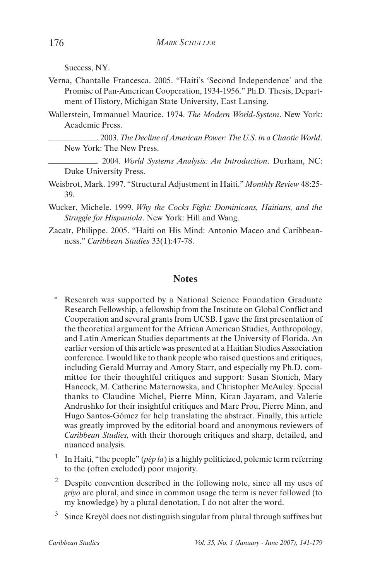Success, NY.

- Verna, Chantalle Francesca. 2005. "Haiti's 'Second Independence' and the Promise of Pan-American Cooperation, 1934-1956." Ph.D. Thesis, Department of History, Michigan State University, East Lansing.
- Wallerstein, Immanuel Maurice. 1974. *The Modern World-System*. New York: Academic Press.

. 2003. *The Decline of American Power: The U.S. in a Chaotic World*. New York: The New Press.

. 2004. *World Systems Analysis: An Introduction*. Durham, NC: Duke University Press.

- Weisbrot, Mark. 1997. "Structural Adjustment in Haiti." *Monthly Review* 48:25- 39.
- Wucker, Michele. 1999. *Why the Cocks Fight: Dominicans, Haitians, and the Struggle for Hispaniola*. New York: Hill and Wang.
- Zacaïr, Philippe. 2005. "Haiti on His Mind: Antonio Maceo and Caribbeanness." *Caribbean Studies* 33(1):47-78.

#### **Notes**

- Research was supported by a National Science Foundation Graduate Research Fellowship, a fellowship from the Institute on Global Conflict and Cooperation and several grants from UCSB. I gave the first presentation of the theoretical argument for the African American Studies, Anthropology, and Latin American Studies departments at the University of Florida. An earlier version of this article was presented at a Haitian Studies Association conference. I would like to thank people who raised questions and critiques, including Gerald Murray and Amory Starr, and especially my Ph.D. committee for their thoughtful critiques and support: Susan Stonich, Mary Hancock, M. Catherine Maternowska, and Christopher McAuley. Special thanks to Claudine Michel, Pierre Minn, Kiran Jayaram, and Valerie Andrushko for their insightful critiques and Marc Prou, Pierre Minn, and Hugo Santos-Gómez for help translating the abstract. Finally, this article was greatly improved by the editorial board and anonymous reviewers of *Caribbean Studies,* with their thorough critiques and sharp, detailed, and nuanced analysis.
- <sup>1</sup> In Haiti, "the people" (*pèp la*) is a highly politicized, polemic term referring to the (often excluded) poor majority.
- <sup>2</sup> Despite convention described in the following note, since all my uses of *griyo* are plural, and since in common usage the term is never followed (to my knowledge) by a plural denotation, I do not alter the word.
- 3 Since Kreyòl does not distinguish singular from plural through suffixes but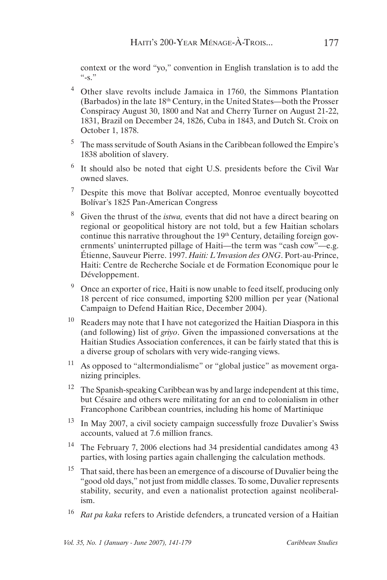context or the word "yo," convention in English translation is to add the  $\frac{1}{10}$   $\frac{1}{10}$   $\frac{1}{10}$ 

- 4 Other slave revolts include Jamaica in 1760, the Simmons Plantation (Barbados) in the late 18th Century, in the United States—both the Prosser Conspiracy August 30, 1800 and Nat and Cherry Turner on August 21-22, 1831, Brazil on December 24, 1826, Cuba in 1843, and Dutch St. Croix on October 1, 1878.
- 5 The mass servitude of South Asians in the Caribbean followed the Empire's 1838 abolition of slavery.
- 6 It should also be noted that eight U.S. presidents before the Civil War owned slaves.
- $\frac{7}{1}$  Despite this move that Bolívar accepted, Monroe eventually boycotted Bolívar's 1825 Pan-American Congress
- Given the thrust of the *istwa*, events that did not have a direct bearing on regional or geopolitical history are not told, but a few Haitian scholars continue this narrative throughout the  $19<sup>th</sup>$  Century, detailing foreign governments' uninterrupted pillage of Haiti—the term was "cash cow"—e.g. Étienne, Sauveur Pierre. 1997. *Haiti: L'Invasion des ONG*. Port-au-Prince, Haiti: Centre de Recherche Sociale et de Formation Economique pour le Développement.
- $9\degree$  Once an exporter of rice, Haiti is now unable to feed itself, producing only 18 percent of rice consumed, importing \$200 million per year (National Campaign to Defend Haitian Rice, December 2004).
- $10$  Readers may note that I have not categorized the Haitian Diaspora in this (and following) list of *griyo*. Given the impassioned conversations at the Haitian Studies Association conferences, it can be fairly stated that this is a diverse group of scholars with very wide-ranging views.
- <sup>11</sup> As opposed to "altermondialisme" or "global justice" as movement organizing principles.
- <sup>12</sup> The Spanish-speaking Caribbean was by and large independent at this time, but Césaire and others were militating for an end to colonialism in other Francophone Caribbean countries, including his home of Martinique
- 13 In May 2007, a civil society campaign successfully froze Duvalier's Swiss accounts, valued at 7.6 million francs.
- <sup>14</sup> The February 7, 2006 elections had 34 presidential candidates among 43 parties, with losing parties again challenging the calculation methods.
- <sup>15</sup> That said, there has been an emergence of a discourse of Duvalier being the "good old days," not just from middle classes. To some, Duvalier represents stability, security, and even a nationalist protection against neoliberalism.
- <sup>16</sup> *Rat pa kaka* refers to Aristide defenders, a truncated version of a Haitian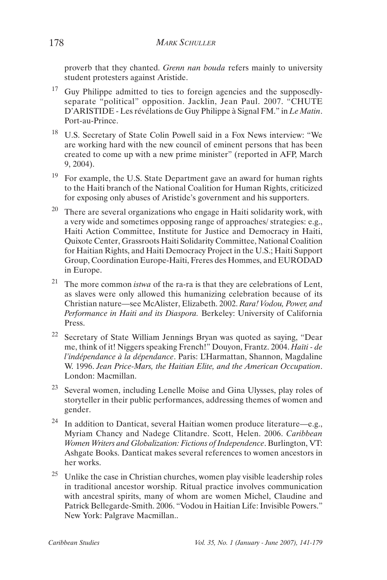proverb that they chanted. *Grenn nan bouda* refers mainly to university student protesters against Aristide.

- <sup>17</sup> Guy Philippe admitted to ties to foreign agencies and the supposedlyseparate "political" opposition. Jacklin, Jean Paul. 2007. "CHUTE D'ARISTIDE - Les révélations de Guy Philippe à Signal FM." in *Le Matin*. Port-au-Prince.
- 18 U.S. Secretary of State Colin Powell said in a Fox News interview: "We are working hard with the new council of eminent persons that has been created to come up with a new prime minister" (reported in AFP, March 9, 2004).
- <sup>19</sup> For example, the U.S. State Department gave an award for human rights to the Haiti branch of the National Coalition for Human Rights, criticized for exposing only abuses of Aristide's government and his supporters.
- $20$  There are several organizations who engage in Haiti solidarity work, with a very wide and sometimes opposing range of approaches/ strategies: e.g., Haiti Action Committee, Institute for Justice and Democracy in Haiti, Quixote Center, Grassroots Haiti Solidarity Committee, National Coalition for Haitian Rights, and Haiti Democracy Project in the U.S.; Haiti Support Group, Coordination Europe-Haïti, Freres des Hommes, and EURODAD in Europe.
- 21 The more common *istwa* of the ra-ra is that they are celebrations of Lent, as slaves were only allowed this humanizing celebration because of its Christian nature—see McAlister, Elizabeth. 2002. *Rara! Vodou, Power, and Performance in Haiti and its Diaspora.* Berkeley: University of California Press.
- 22 Secretary of State William Jennings Bryan was quoted as saying, "Dear me, think of it! Niggers speaking French!" Douyon, Frantz. 2004. *Haïti - de l'indépendance à la dépendance*. Paris: L'Harmattan, Shannon, Magdaline W. 1996. *Jean Price-Mars, the Haitian Elite, and the American Occupation*. London: Macmillan.
- 23 Several women, including Lenelle Moïse and Gina Ulysses, play roles of storyteller in their public performances, addressing themes of women and gender.
- <sup>24</sup> In addition to Danticat, several Haitian women produce literature—e.g., Myriam Chancy and Nadege Clitandre. Scott, Helen. 2006. *Caribbean Women Writers and Globalization: Fictions of Independence*. Burlington, VT: Ashgate Books. Danticat makes several references to women ancestors in her works.
- 25 Unlike the case in Christian churches, women play visible leadership roles in traditional ancestor worship. Ritual practice involves communication with ancestral spirits, many of whom are women Michel, Claudine and Patrick Bellegarde-Smith. 2006. "Vodou in Haitian Life: Invisible Powers." New York: Palgrave Macmillan..